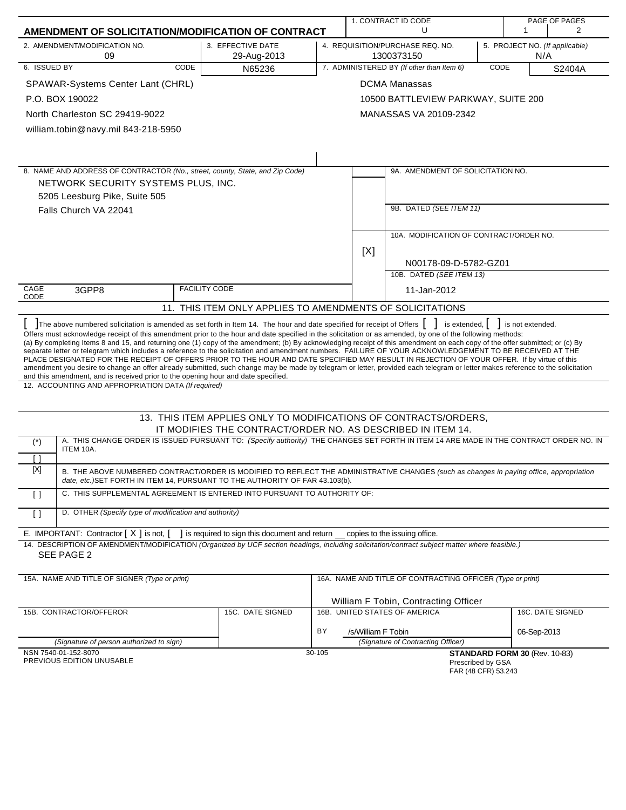| AMENDMENT OF SOLICITATION/MODIFICATION OF CONTRACT<br>2. AMENDMENT/MODIFICATION NO.<br>3. EFFECTIVE DATE<br>4. REQUISITION/PURCHASE REQ. NO.<br>5. PROJECT NO. (If applicable)<br>1300373150<br>09<br>29-Aug-2013<br>N/A<br>6. ISSUED BY<br>7. ADMINISTERED BY (If other than Item 6)<br>CODE<br>CODE<br>N65236<br>S2404A<br><b>DCMA Manassas</b><br>SPAWAR-Systems Center Lant (CHRL)<br>P.O. BOX 190022<br>10500 BATTLEVIEW PARKWAY, SUITE 200<br>North Charleston SC 29419-9022<br>MANASSAS VA 20109-2342<br>william.tobin@navy.mil 843-218-5950<br>8. NAME AND ADDRESS OF CONTRACTOR (No., street, county, State, and Zip Code)<br>9A. AMENDMENT OF SOLICITATION NO.<br>NETWORK SECURITY SYSTEMS PLUS, INC.<br>5205 Leesburg Pike, Suite 505<br>9B. DATED (SEE ITEM 11)<br>Falls Church VA 22041<br>10A. MODIFICATION OF CONTRACT/ORDER NO.<br>[X]<br>N00178-09-D-5782-GZ01<br>10B. DATED (SEE ITEM 13)<br>CAGE<br><b>FACILITY CODE</b><br>3GPP8<br>11-Jan-2012<br>CODE<br>11. THIS ITEM ONLY APPLIES TO AMENDMENTS OF SOLICITATIONS<br>The above numbered solicitation is amended as set forth in Item 14. The hour and date specified for receipt of Offers<br>is extended,  <br>is not extended.<br>Offers must acknowledge receipt of this amendment prior to the hour and date specified in the solicitation or as amended, by one of the following methods:<br>(a) By completing Items 8 and 15, and returning one (1) copy of the amendment; (b) By acknowledging receipt of this amendment on each copy of the offer submitted; or (c) By<br>separate letter or telegram which includes a reference to the solicitation and amendment numbers. FAILURE OF YOUR ACKNOWLEDGEMENT TO BE RECEIVED AT THE<br>PLACE DESIGNATED FOR THE RECEIPT OF OFFERS PRIOR TO THE HOUR AND DATE SPECIFIED MAY RESULT IN REJECTION OF YOUR OFFER. If by virtue of this<br>amendment you desire to change an offer already submitted, such change may be made by telegram or letter, provided each telegram or letter makes reference to the solicitation<br>and this amendment, and is received prior to the opening hour and date specified.<br>12. ACCOUNTING AND APPROPRIATION DATA (If required)<br>13. THIS ITEM APPLIES ONLY TO MODIFICATIONS OF CONTRACTS/ORDERS,<br>IT MODIFIES THE CONTRACT/ORDER NO. AS DESCRIBED IN ITEM 14.<br>A. THIS CHANGE ORDER IS ISSUED PURSUANT TO: (Specify authority) THE CHANGES SET FORTH IN ITEM 14 ARE MADE IN THE CONTRACT ORDER NO. IN<br>$(\dot{z})$<br>ITEM 10A.<br>$\lceil$ $\rceil$<br>[X]<br>B. THE ABOVE NUMBERED CONTRACT/ORDER IS MODIFIED TO REFLECT THE ADMINISTRATIVE CHANGES (such as changes in paying office, appropriation<br>date, etc.) SET FORTH IN ITEM 14, PURSUANT TO THE AUTHORITY OF FAR 43.103(b).<br>C. THIS SUPPLEMENTAL AGREEMENT IS ENTERED INTO PURSUANT TO AUTHORITY OF:<br>$\Box$<br>D. OTHER (Specify type of modification and authority)<br>$\lceil$ $\rceil$<br>E. IMPORTANT: Contractor $[X]$ is not, $[$<br>1 is required to sign this document and return copies to the issuing office.<br>14. DESCRIPTION OF AMENDMENT/MODIFICATION (Organized by UCF section headings, including solicitation/contract subject matter where feasible.)<br>SEE PAGE 2<br>15A. NAME AND TITLE OF SIGNER (Type or print)<br>16A. NAME AND TITLE OF CONTRACTING OFFICER (Type or print)<br>William F Tobin, Contracting Officer<br>15C. DATE SIGNED<br>16B. UNITED STATES OF AMERICA<br>16C. DATE SIGNED<br>15B. CONTRACTOR/OFFEROR<br>BY<br>/s/William F Tobin<br>06-Sep-2013<br>(Signature of Contracting Officer)<br>(Signature of person authorized to sign)<br>NSN 7540-01-152-8070<br>30-105<br>STANDARD FORM 30 (Rev. 10-83)<br>PREVIOUS EDITION UNUSABLE<br>Prescribed by GSA<br>FAR (48 CFR) 53.243 |  |  | 1. CONTRACT ID CODE<br>U |  |  | 1 | PAGE OF PAGES<br>2 |  |  |  |
|---------------------------------------------------------------------------------------------------------------------------------------------------------------------------------------------------------------------------------------------------------------------------------------------------------------------------------------------------------------------------------------------------------------------------------------------------------------------------------------------------------------------------------------------------------------------------------------------------------------------------------------------------------------------------------------------------------------------------------------------------------------------------------------------------------------------------------------------------------------------------------------------------------------------------------------------------------------------------------------------------------------------------------------------------------------------------------------------------------------------------------------------------------------------------------------------------------------------------------------------------------------------------------------------------------------------------------------------------------------------------------------------------------------------------------------------------------------------------------------------------------------------------------------------------------------------------------------------------------------------------------------------------------------------------------------------------------------------------------------------------------------------------------------------------------------------------------------------------------------------------------------------------------------------------------------------------------------------------------------------------------------------------------------------------------------------------------------------------------------------------------------------------------------------------------------------------------------------------------------------------------------------------------------------------------------------------------------------------------------------------------------------------------------------------------------------------------------------------------------------------------------------------------------------------------------------------------------------------------------------------------------------------------------------------------------------------------------------------------------------------------------------------------------------------------------------------------------------------------------------------------------------------------------------------------------------------------------------------------------------------------------------------------------------------------------------------------------------------------------------------------------------------------------------------------------------------------------------------------------------------------------------------------------------------------------------------------------------------------------------------------------------------------------------------------------------------------------------------------------------------------------------------------------------------------------------------------------------------------------------------------------------------------------------------------------------------------------------------------------------------------------------|--|--|--------------------------|--|--|---|--------------------|--|--|--|
|                                                                                                                                                                                                                                                                                                                                                                                                                                                                                                                                                                                                                                                                                                                                                                                                                                                                                                                                                                                                                                                                                                                                                                                                                                                                                                                                                                                                                                                                                                                                                                                                                                                                                                                                                                                                                                                                                                                                                                                                                                                                                                                                                                                                                                                                                                                                                                                                                                                                                                                                                                                                                                                                                                                                                                                                                                                                                                                                                                                                                                                                                                                                                                                                                                                                                                                                                                                                                                                                                                                                                                                                                                                                                                                                                                     |  |  |                          |  |  |   |                    |  |  |  |
|                                                                                                                                                                                                                                                                                                                                                                                                                                                                                                                                                                                                                                                                                                                                                                                                                                                                                                                                                                                                                                                                                                                                                                                                                                                                                                                                                                                                                                                                                                                                                                                                                                                                                                                                                                                                                                                                                                                                                                                                                                                                                                                                                                                                                                                                                                                                                                                                                                                                                                                                                                                                                                                                                                                                                                                                                                                                                                                                                                                                                                                                                                                                                                                                                                                                                                                                                                                                                                                                                                                                                                                                                                                                                                                                                                     |  |  |                          |  |  |   |                    |  |  |  |
|                                                                                                                                                                                                                                                                                                                                                                                                                                                                                                                                                                                                                                                                                                                                                                                                                                                                                                                                                                                                                                                                                                                                                                                                                                                                                                                                                                                                                                                                                                                                                                                                                                                                                                                                                                                                                                                                                                                                                                                                                                                                                                                                                                                                                                                                                                                                                                                                                                                                                                                                                                                                                                                                                                                                                                                                                                                                                                                                                                                                                                                                                                                                                                                                                                                                                                                                                                                                                                                                                                                                                                                                                                                                                                                                                                     |  |  |                          |  |  |   |                    |  |  |  |
|                                                                                                                                                                                                                                                                                                                                                                                                                                                                                                                                                                                                                                                                                                                                                                                                                                                                                                                                                                                                                                                                                                                                                                                                                                                                                                                                                                                                                                                                                                                                                                                                                                                                                                                                                                                                                                                                                                                                                                                                                                                                                                                                                                                                                                                                                                                                                                                                                                                                                                                                                                                                                                                                                                                                                                                                                                                                                                                                                                                                                                                                                                                                                                                                                                                                                                                                                                                                                                                                                                                                                                                                                                                                                                                                                                     |  |  |                          |  |  |   |                    |  |  |  |
|                                                                                                                                                                                                                                                                                                                                                                                                                                                                                                                                                                                                                                                                                                                                                                                                                                                                                                                                                                                                                                                                                                                                                                                                                                                                                                                                                                                                                                                                                                                                                                                                                                                                                                                                                                                                                                                                                                                                                                                                                                                                                                                                                                                                                                                                                                                                                                                                                                                                                                                                                                                                                                                                                                                                                                                                                                                                                                                                                                                                                                                                                                                                                                                                                                                                                                                                                                                                                                                                                                                                                                                                                                                                                                                                                                     |  |  |                          |  |  |   |                    |  |  |  |
|                                                                                                                                                                                                                                                                                                                                                                                                                                                                                                                                                                                                                                                                                                                                                                                                                                                                                                                                                                                                                                                                                                                                                                                                                                                                                                                                                                                                                                                                                                                                                                                                                                                                                                                                                                                                                                                                                                                                                                                                                                                                                                                                                                                                                                                                                                                                                                                                                                                                                                                                                                                                                                                                                                                                                                                                                                                                                                                                                                                                                                                                                                                                                                                                                                                                                                                                                                                                                                                                                                                                                                                                                                                                                                                                                                     |  |  |                          |  |  |   |                    |  |  |  |
|                                                                                                                                                                                                                                                                                                                                                                                                                                                                                                                                                                                                                                                                                                                                                                                                                                                                                                                                                                                                                                                                                                                                                                                                                                                                                                                                                                                                                                                                                                                                                                                                                                                                                                                                                                                                                                                                                                                                                                                                                                                                                                                                                                                                                                                                                                                                                                                                                                                                                                                                                                                                                                                                                                                                                                                                                                                                                                                                                                                                                                                                                                                                                                                                                                                                                                                                                                                                                                                                                                                                                                                                                                                                                                                                                                     |  |  |                          |  |  |   |                    |  |  |  |
|                                                                                                                                                                                                                                                                                                                                                                                                                                                                                                                                                                                                                                                                                                                                                                                                                                                                                                                                                                                                                                                                                                                                                                                                                                                                                                                                                                                                                                                                                                                                                                                                                                                                                                                                                                                                                                                                                                                                                                                                                                                                                                                                                                                                                                                                                                                                                                                                                                                                                                                                                                                                                                                                                                                                                                                                                                                                                                                                                                                                                                                                                                                                                                                                                                                                                                                                                                                                                                                                                                                                                                                                                                                                                                                                                                     |  |  |                          |  |  |   |                    |  |  |  |
|                                                                                                                                                                                                                                                                                                                                                                                                                                                                                                                                                                                                                                                                                                                                                                                                                                                                                                                                                                                                                                                                                                                                                                                                                                                                                                                                                                                                                                                                                                                                                                                                                                                                                                                                                                                                                                                                                                                                                                                                                                                                                                                                                                                                                                                                                                                                                                                                                                                                                                                                                                                                                                                                                                                                                                                                                                                                                                                                                                                                                                                                                                                                                                                                                                                                                                                                                                                                                                                                                                                                                                                                                                                                                                                                                                     |  |  |                          |  |  |   |                    |  |  |  |
|                                                                                                                                                                                                                                                                                                                                                                                                                                                                                                                                                                                                                                                                                                                                                                                                                                                                                                                                                                                                                                                                                                                                                                                                                                                                                                                                                                                                                                                                                                                                                                                                                                                                                                                                                                                                                                                                                                                                                                                                                                                                                                                                                                                                                                                                                                                                                                                                                                                                                                                                                                                                                                                                                                                                                                                                                                                                                                                                                                                                                                                                                                                                                                                                                                                                                                                                                                                                                                                                                                                                                                                                                                                                                                                                                                     |  |  |                          |  |  |   |                    |  |  |  |
|                                                                                                                                                                                                                                                                                                                                                                                                                                                                                                                                                                                                                                                                                                                                                                                                                                                                                                                                                                                                                                                                                                                                                                                                                                                                                                                                                                                                                                                                                                                                                                                                                                                                                                                                                                                                                                                                                                                                                                                                                                                                                                                                                                                                                                                                                                                                                                                                                                                                                                                                                                                                                                                                                                                                                                                                                                                                                                                                                                                                                                                                                                                                                                                                                                                                                                                                                                                                                                                                                                                                                                                                                                                                                                                                                                     |  |  |                          |  |  |   |                    |  |  |  |
|                                                                                                                                                                                                                                                                                                                                                                                                                                                                                                                                                                                                                                                                                                                                                                                                                                                                                                                                                                                                                                                                                                                                                                                                                                                                                                                                                                                                                                                                                                                                                                                                                                                                                                                                                                                                                                                                                                                                                                                                                                                                                                                                                                                                                                                                                                                                                                                                                                                                                                                                                                                                                                                                                                                                                                                                                                                                                                                                                                                                                                                                                                                                                                                                                                                                                                                                                                                                                                                                                                                                                                                                                                                                                                                                                                     |  |  |                          |  |  |   |                    |  |  |  |
|                                                                                                                                                                                                                                                                                                                                                                                                                                                                                                                                                                                                                                                                                                                                                                                                                                                                                                                                                                                                                                                                                                                                                                                                                                                                                                                                                                                                                                                                                                                                                                                                                                                                                                                                                                                                                                                                                                                                                                                                                                                                                                                                                                                                                                                                                                                                                                                                                                                                                                                                                                                                                                                                                                                                                                                                                                                                                                                                                                                                                                                                                                                                                                                                                                                                                                                                                                                                                                                                                                                                                                                                                                                                                                                                                                     |  |  |                          |  |  |   |                    |  |  |  |
|                                                                                                                                                                                                                                                                                                                                                                                                                                                                                                                                                                                                                                                                                                                                                                                                                                                                                                                                                                                                                                                                                                                                                                                                                                                                                                                                                                                                                                                                                                                                                                                                                                                                                                                                                                                                                                                                                                                                                                                                                                                                                                                                                                                                                                                                                                                                                                                                                                                                                                                                                                                                                                                                                                                                                                                                                                                                                                                                                                                                                                                                                                                                                                                                                                                                                                                                                                                                                                                                                                                                                                                                                                                                                                                                                                     |  |  |                          |  |  |   |                    |  |  |  |
|                                                                                                                                                                                                                                                                                                                                                                                                                                                                                                                                                                                                                                                                                                                                                                                                                                                                                                                                                                                                                                                                                                                                                                                                                                                                                                                                                                                                                                                                                                                                                                                                                                                                                                                                                                                                                                                                                                                                                                                                                                                                                                                                                                                                                                                                                                                                                                                                                                                                                                                                                                                                                                                                                                                                                                                                                                                                                                                                                                                                                                                                                                                                                                                                                                                                                                                                                                                                                                                                                                                                                                                                                                                                                                                                                                     |  |  |                          |  |  |   |                    |  |  |  |
|                                                                                                                                                                                                                                                                                                                                                                                                                                                                                                                                                                                                                                                                                                                                                                                                                                                                                                                                                                                                                                                                                                                                                                                                                                                                                                                                                                                                                                                                                                                                                                                                                                                                                                                                                                                                                                                                                                                                                                                                                                                                                                                                                                                                                                                                                                                                                                                                                                                                                                                                                                                                                                                                                                                                                                                                                                                                                                                                                                                                                                                                                                                                                                                                                                                                                                                                                                                                                                                                                                                                                                                                                                                                                                                                                                     |  |  |                          |  |  |   |                    |  |  |  |
|                                                                                                                                                                                                                                                                                                                                                                                                                                                                                                                                                                                                                                                                                                                                                                                                                                                                                                                                                                                                                                                                                                                                                                                                                                                                                                                                                                                                                                                                                                                                                                                                                                                                                                                                                                                                                                                                                                                                                                                                                                                                                                                                                                                                                                                                                                                                                                                                                                                                                                                                                                                                                                                                                                                                                                                                                                                                                                                                                                                                                                                                                                                                                                                                                                                                                                                                                                                                                                                                                                                                                                                                                                                                                                                                                                     |  |  |                          |  |  |   |                    |  |  |  |
|                                                                                                                                                                                                                                                                                                                                                                                                                                                                                                                                                                                                                                                                                                                                                                                                                                                                                                                                                                                                                                                                                                                                                                                                                                                                                                                                                                                                                                                                                                                                                                                                                                                                                                                                                                                                                                                                                                                                                                                                                                                                                                                                                                                                                                                                                                                                                                                                                                                                                                                                                                                                                                                                                                                                                                                                                                                                                                                                                                                                                                                                                                                                                                                                                                                                                                                                                                                                                                                                                                                                                                                                                                                                                                                                                                     |  |  |                          |  |  |   |                    |  |  |  |
|                                                                                                                                                                                                                                                                                                                                                                                                                                                                                                                                                                                                                                                                                                                                                                                                                                                                                                                                                                                                                                                                                                                                                                                                                                                                                                                                                                                                                                                                                                                                                                                                                                                                                                                                                                                                                                                                                                                                                                                                                                                                                                                                                                                                                                                                                                                                                                                                                                                                                                                                                                                                                                                                                                                                                                                                                                                                                                                                                                                                                                                                                                                                                                                                                                                                                                                                                                                                                                                                                                                                                                                                                                                                                                                                                                     |  |  |                          |  |  |   |                    |  |  |  |
|                                                                                                                                                                                                                                                                                                                                                                                                                                                                                                                                                                                                                                                                                                                                                                                                                                                                                                                                                                                                                                                                                                                                                                                                                                                                                                                                                                                                                                                                                                                                                                                                                                                                                                                                                                                                                                                                                                                                                                                                                                                                                                                                                                                                                                                                                                                                                                                                                                                                                                                                                                                                                                                                                                                                                                                                                                                                                                                                                                                                                                                                                                                                                                                                                                                                                                                                                                                                                                                                                                                                                                                                                                                                                                                                                                     |  |  |                          |  |  |   |                    |  |  |  |
|                                                                                                                                                                                                                                                                                                                                                                                                                                                                                                                                                                                                                                                                                                                                                                                                                                                                                                                                                                                                                                                                                                                                                                                                                                                                                                                                                                                                                                                                                                                                                                                                                                                                                                                                                                                                                                                                                                                                                                                                                                                                                                                                                                                                                                                                                                                                                                                                                                                                                                                                                                                                                                                                                                                                                                                                                                                                                                                                                                                                                                                                                                                                                                                                                                                                                                                                                                                                                                                                                                                                                                                                                                                                                                                                                                     |  |  |                          |  |  |   |                    |  |  |  |
|                                                                                                                                                                                                                                                                                                                                                                                                                                                                                                                                                                                                                                                                                                                                                                                                                                                                                                                                                                                                                                                                                                                                                                                                                                                                                                                                                                                                                                                                                                                                                                                                                                                                                                                                                                                                                                                                                                                                                                                                                                                                                                                                                                                                                                                                                                                                                                                                                                                                                                                                                                                                                                                                                                                                                                                                                                                                                                                                                                                                                                                                                                                                                                                                                                                                                                                                                                                                                                                                                                                                                                                                                                                                                                                                                                     |  |  |                          |  |  |   |                    |  |  |  |
|                                                                                                                                                                                                                                                                                                                                                                                                                                                                                                                                                                                                                                                                                                                                                                                                                                                                                                                                                                                                                                                                                                                                                                                                                                                                                                                                                                                                                                                                                                                                                                                                                                                                                                                                                                                                                                                                                                                                                                                                                                                                                                                                                                                                                                                                                                                                                                                                                                                                                                                                                                                                                                                                                                                                                                                                                                                                                                                                                                                                                                                                                                                                                                                                                                                                                                                                                                                                                                                                                                                                                                                                                                                                                                                                                                     |  |  |                          |  |  |   |                    |  |  |  |
|                                                                                                                                                                                                                                                                                                                                                                                                                                                                                                                                                                                                                                                                                                                                                                                                                                                                                                                                                                                                                                                                                                                                                                                                                                                                                                                                                                                                                                                                                                                                                                                                                                                                                                                                                                                                                                                                                                                                                                                                                                                                                                                                                                                                                                                                                                                                                                                                                                                                                                                                                                                                                                                                                                                                                                                                                                                                                                                                                                                                                                                                                                                                                                                                                                                                                                                                                                                                                                                                                                                                                                                                                                                                                                                                                                     |  |  |                          |  |  |   |                    |  |  |  |
|                                                                                                                                                                                                                                                                                                                                                                                                                                                                                                                                                                                                                                                                                                                                                                                                                                                                                                                                                                                                                                                                                                                                                                                                                                                                                                                                                                                                                                                                                                                                                                                                                                                                                                                                                                                                                                                                                                                                                                                                                                                                                                                                                                                                                                                                                                                                                                                                                                                                                                                                                                                                                                                                                                                                                                                                                                                                                                                                                                                                                                                                                                                                                                                                                                                                                                                                                                                                                                                                                                                                                                                                                                                                                                                                                                     |  |  |                          |  |  |   |                    |  |  |  |
|                                                                                                                                                                                                                                                                                                                                                                                                                                                                                                                                                                                                                                                                                                                                                                                                                                                                                                                                                                                                                                                                                                                                                                                                                                                                                                                                                                                                                                                                                                                                                                                                                                                                                                                                                                                                                                                                                                                                                                                                                                                                                                                                                                                                                                                                                                                                                                                                                                                                                                                                                                                                                                                                                                                                                                                                                                                                                                                                                                                                                                                                                                                                                                                                                                                                                                                                                                                                                                                                                                                                                                                                                                                                                                                                                                     |  |  |                          |  |  |   |                    |  |  |  |
|                                                                                                                                                                                                                                                                                                                                                                                                                                                                                                                                                                                                                                                                                                                                                                                                                                                                                                                                                                                                                                                                                                                                                                                                                                                                                                                                                                                                                                                                                                                                                                                                                                                                                                                                                                                                                                                                                                                                                                                                                                                                                                                                                                                                                                                                                                                                                                                                                                                                                                                                                                                                                                                                                                                                                                                                                                                                                                                                                                                                                                                                                                                                                                                                                                                                                                                                                                                                                                                                                                                                                                                                                                                                                                                                                                     |  |  |                          |  |  |   |                    |  |  |  |
|                                                                                                                                                                                                                                                                                                                                                                                                                                                                                                                                                                                                                                                                                                                                                                                                                                                                                                                                                                                                                                                                                                                                                                                                                                                                                                                                                                                                                                                                                                                                                                                                                                                                                                                                                                                                                                                                                                                                                                                                                                                                                                                                                                                                                                                                                                                                                                                                                                                                                                                                                                                                                                                                                                                                                                                                                                                                                                                                                                                                                                                                                                                                                                                                                                                                                                                                                                                                                                                                                                                                                                                                                                                                                                                                                                     |  |  |                          |  |  |   |                    |  |  |  |
|                                                                                                                                                                                                                                                                                                                                                                                                                                                                                                                                                                                                                                                                                                                                                                                                                                                                                                                                                                                                                                                                                                                                                                                                                                                                                                                                                                                                                                                                                                                                                                                                                                                                                                                                                                                                                                                                                                                                                                                                                                                                                                                                                                                                                                                                                                                                                                                                                                                                                                                                                                                                                                                                                                                                                                                                                                                                                                                                                                                                                                                                                                                                                                                                                                                                                                                                                                                                                                                                                                                                                                                                                                                                                                                                                                     |  |  |                          |  |  |   |                    |  |  |  |
|                                                                                                                                                                                                                                                                                                                                                                                                                                                                                                                                                                                                                                                                                                                                                                                                                                                                                                                                                                                                                                                                                                                                                                                                                                                                                                                                                                                                                                                                                                                                                                                                                                                                                                                                                                                                                                                                                                                                                                                                                                                                                                                                                                                                                                                                                                                                                                                                                                                                                                                                                                                                                                                                                                                                                                                                                                                                                                                                                                                                                                                                                                                                                                                                                                                                                                                                                                                                                                                                                                                                                                                                                                                                                                                                                                     |  |  |                          |  |  |   |                    |  |  |  |
|                                                                                                                                                                                                                                                                                                                                                                                                                                                                                                                                                                                                                                                                                                                                                                                                                                                                                                                                                                                                                                                                                                                                                                                                                                                                                                                                                                                                                                                                                                                                                                                                                                                                                                                                                                                                                                                                                                                                                                                                                                                                                                                                                                                                                                                                                                                                                                                                                                                                                                                                                                                                                                                                                                                                                                                                                                                                                                                                                                                                                                                                                                                                                                                                                                                                                                                                                                                                                                                                                                                                                                                                                                                                                                                                                                     |  |  |                          |  |  |   |                    |  |  |  |
|                                                                                                                                                                                                                                                                                                                                                                                                                                                                                                                                                                                                                                                                                                                                                                                                                                                                                                                                                                                                                                                                                                                                                                                                                                                                                                                                                                                                                                                                                                                                                                                                                                                                                                                                                                                                                                                                                                                                                                                                                                                                                                                                                                                                                                                                                                                                                                                                                                                                                                                                                                                                                                                                                                                                                                                                                                                                                                                                                                                                                                                                                                                                                                                                                                                                                                                                                                                                                                                                                                                                                                                                                                                                                                                                                                     |  |  |                          |  |  |   |                    |  |  |  |
|                                                                                                                                                                                                                                                                                                                                                                                                                                                                                                                                                                                                                                                                                                                                                                                                                                                                                                                                                                                                                                                                                                                                                                                                                                                                                                                                                                                                                                                                                                                                                                                                                                                                                                                                                                                                                                                                                                                                                                                                                                                                                                                                                                                                                                                                                                                                                                                                                                                                                                                                                                                                                                                                                                                                                                                                                                                                                                                                                                                                                                                                                                                                                                                                                                                                                                                                                                                                                                                                                                                                                                                                                                                                                                                                                                     |  |  |                          |  |  |   |                    |  |  |  |
|                                                                                                                                                                                                                                                                                                                                                                                                                                                                                                                                                                                                                                                                                                                                                                                                                                                                                                                                                                                                                                                                                                                                                                                                                                                                                                                                                                                                                                                                                                                                                                                                                                                                                                                                                                                                                                                                                                                                                                                                                                                                                                                                                                                                                                                                                                                                                                                                                                                                                                                                                                                                                                                                                                                                                                                                                                                                                                                                                                                                                                                                                                                                                                                                                                                                                                                                                                                                                                                                                                                                                                                                                                                                                                                                                                     |  |  |                          |  |  |   |                    |  |  |  |
|                                                                                                                                                                                                                                                                                                                                                                                                                                                                                                                                                                                                                                                                                                                                                                                                                                                                                                                                                                                                                                                                                                                                                                                                                                                                                                                                                                                                                                                                                                                                                                                                                                                                                                                                                                                                                                                                                                                                                                                                                                                                                                                                                                                                                                                                                                                                                                                                                                                                                                                                                                                                                                                                                                                                                                                                                                                                                                                                                                                                                                                                                                                                                                                                                                                                                                                                                                                                                                                                                                                                                                                                                                                                                                                                                                     |  |  |                          |  |  |   |                    |  |  |  |
|                                                                                                                                                                                                                                                                                                                                                                                                                                                                                                                                                                                                                                                                                                                                                                                                                                                                                                                                                                                                                                                                                                                                                                                                                                                                                                                                                                                                                                                                                                                                                                                                                                                                                                                                                                                                                                                                                                                                                                                                                                                                                                                                                                                                                                                                                                                                                                                                                                                                                                                                                                                                                                                                                                                                                                                                                                                                                                                                                                                                                                                                                                                                                                                                                                                                                                                                                                                                                                                                                                                                                                                                                                                                                                                                                                     |  |  |                          |  |  |   |                    |  |  |  |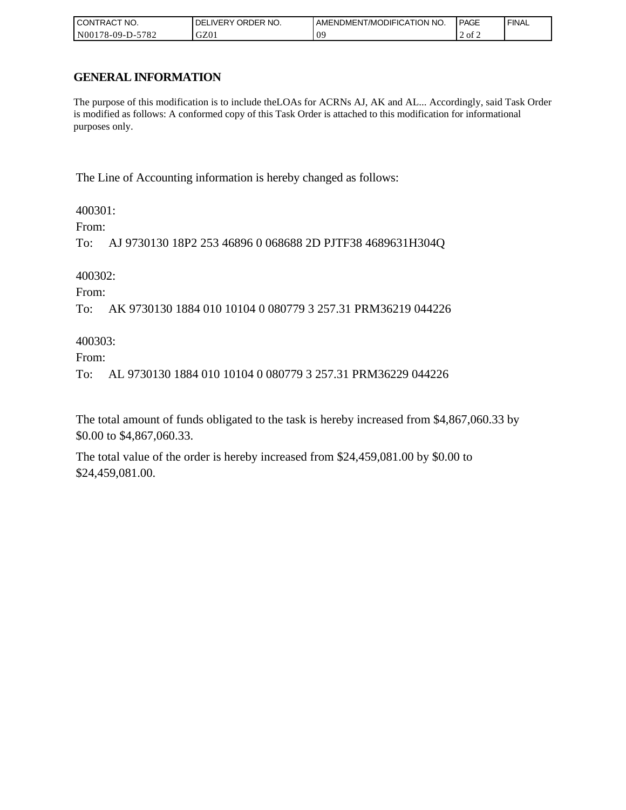| I CONTRACT NO.   | ' ORDER NO.<br><b>DELIVERY</b> | AMENDMENT/MODIFICATION NO. | <b>PAGE</b> | ' FINAL |
|------------------|--------------------------------|----------------------------|-------------|---------|
| N00178-09-D-5782 | GZ0 <sub>1</sub>               | ሰር<br>ິ                    | 2 of 2      |         |

# **GENERAL INFORMATION**

The purpose of this modification is to include theLOAs for ACRNs AJ, AK and AL... Accordingly, said Task Order is modified as follows: A conformed copy of this Task Order is attached to this modification for informational purposes only.

The Line of Accounting information is hereby changed as follows:

400301:

From:

To: AJ 9730130 18P2 253 46896 0 068688 2D PJTF38 4689631H304Q

400302:

From:

To: AK 9730130 1884 010 10104 0 080779 3 257.31 PRM36219 044226

400303:

From:

To: AL 9730130 1884 010 10104 0 080779 3 257.31 PRM36229 044226

The total amount of funds obligated to the task is hereby increased from \$4,867,060.33 by \$0.00 to \$4,867,060.33.

The total value of the order is hereby increased from \$24,459,081.00 by \$0.00 to \$24,459,081.00.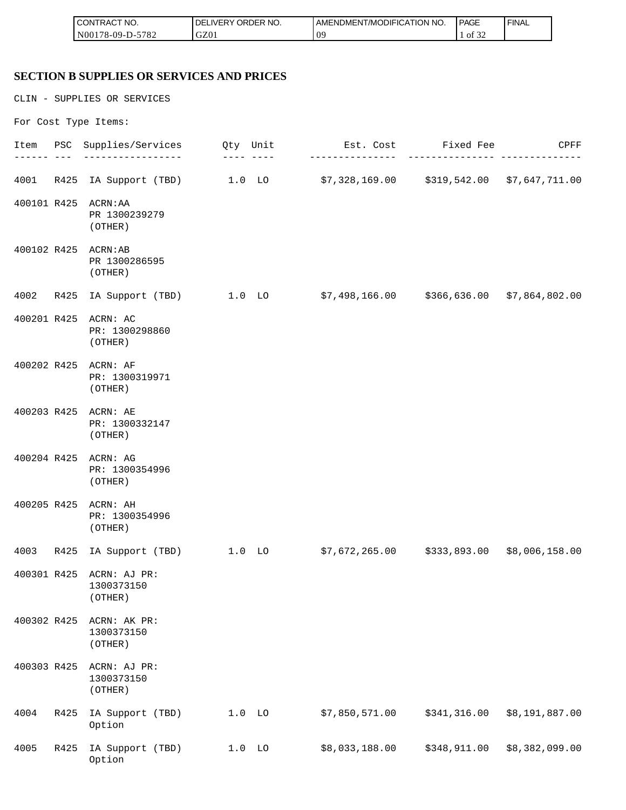| I CONTRACT NO.                       | NO.<br>ORDER <sup>'</sup><br>'DEL<br>.IVERY | AMENDMENT/MODIFICATION NO. | <b>PAGE</b>         | ' FINAL |
|--------------------------------------|---------------------------------------------|----------------------------|---------------------|---------|
| N00<br>5700<br>'78-09-L<br>∠ ہ'<br>. | GZ01                                        | 09                         | 0.25<br>- of<br>-24 |         |

# **SECTION B SUPPLIES OR SERVICES AND PRICES**

CLIN - SUPPLIES OR SERVICES

For Cost Type Items:

|             |      | Item PSC Supplies/Services                        | Qty Unit | Est. Cost Fixed Fee<br>-------------                                    | ----------   | CPFF           |
|-------------|------|---------------------------------------------------|----------|-------------------------------------------------------------------------|--------------|----------------|
| 4001        | R425 |                                                   |          | IA Support (TBD) 1.0 LO \$7,328,169.00 \$319,542.00 \$7,647,711.00      |              |                |
| 400101 R425 |      | ACRN: AA<br>PR 1300239279<br>(OTHER)              |          |                                                                         |              |                |
|             |      | 400102 R425 ACRN:AB<br>PR 1300286595<br>(OTHER)   |          |                                                                         |              |                |
| 4002        | R425 | IA Support (TBD) 1.0 LO                           |          | \$7,498,166.00     \$366,636.00  \$7,864,802.00                         |              |                |
| 400201 R425 |      | ACRN: AC<br>PR: 1300298860<br>(OTHER)             |          |                                                                         |              |                |
|             |      | 400202 R425 ACRN: AF<br>PR: 1300319971<br>(OTHER) |          |                                                                         |              |                |
|             |      | 400203 R425 ACRN: AE<br>PR: 1300332147<br>(OTHER) |          |                                                                         |              |                |
|             |      | 400204 R425 ACRN: AG<br>PR: 1300354996<br>(OTHER) |          |                                                                         |              |                |
| 400205 R425 |      | ACRN: AH<br>PR: 1300354996<br>(OTHER)             |          |                                                                         |              |                |
| 4003        |      |                                                   |          | R425 IA Support (TBD) 1.0 LO \$7,672,265.00 \$333,893.00 \$8,006,158.00 |              |                |
| 400301 R425 |      | ACRN: AJ PR:<br>1300373150<br>(OTHER)             |          |                                                                         |              |                |
| 400302 R425 |      | ACRN: AK PR:<br>1300373150<br>(OTHER)             |          |                                                                         |              |                |
| 400303 R425 |      | ACRN: AJ PR:<br>1300373150<br>(OTHER)             |          |                                                                         |              |                |
| 4004        | R425 | IA Support (TBD)<br>Option                        | $1.0$ LO | \$7,850,571.00                                                          | \$341,316.00 | \$8,191,887.00 |
| 4005        | R425 | IA Support (TBD)<br>Option                        | $1.0$ LO | \$8,033,188.00                                                          | \$348,911.00 | \$8,382,099.00 |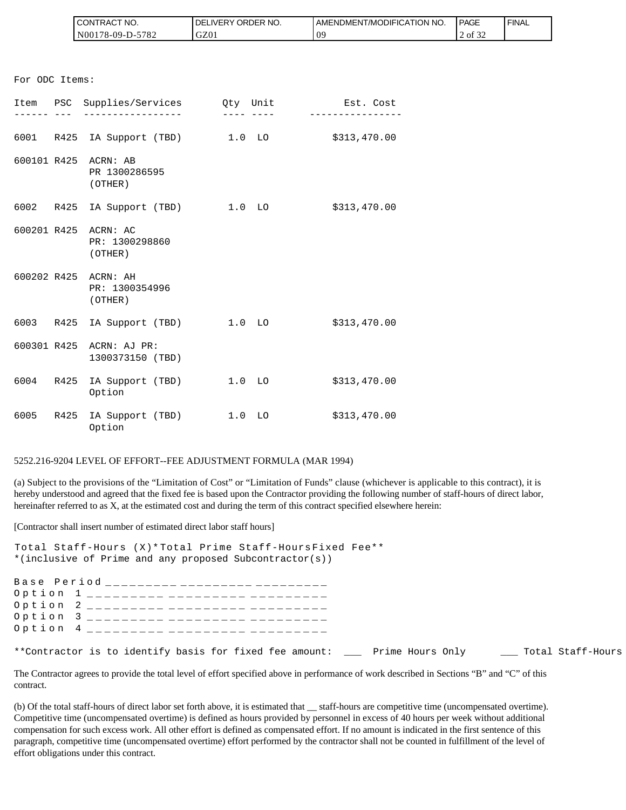| `CT NO.<br><b>CONTRAC</b> | NO.<br><b>DELIVERY ORDER</b> | AMENDMENT/MODIFICATION NO. | <b>PAGE</b>                  | <b>FINAL</b> |
|---------------------------|------------------------------|----------------------------|------------------------------|--------------|
| 5782<br>$NO0178-09-D$ -   | GZ01                         | 09                         | $\sim$ $\sim$<br>2 of<br>-24 |              |

|                                      | CONTRACT NO.<br>N00178-09-D-5782                                                                                              | DELIVERY ORDER NO.<br>GZ01           | AMENDMENT/MODIFICA<br>09                                                                                                                                                                                                                                                                                                                                                                                                                    |
|--------------------------------------|-------------------------------------------------------------------------------------------------------------------------------|--------------------------------------|---------------------------------------------------------------------------------------------------------------------------------------------------------------------------------------------------------------------------------------------------------------------------------------------------------------------------------------------------------------------------------------------------------------------------------------------|
| For ODC Items:                       |                                                                                                                               |                                      |                                                                                                                                                                                                                                                                                                                                                                                                                                             |
|                                      | Item PSC Supplies/Services Qty Unit                                                                                           |                                      | Est. Cost                                                                                                                                                                                                                                                                                                                                                                                                                                   |
|                                      |                                                                                                                               |                                      | ____ ____ _ ___________                                                                                                                                                                                                                                                                                                                                                                                                                     |
|                                      | 6001 R425 IA Support (TBD) 1.0 LO \$313,470.00                                                                                |                                      |                                                                                                                                                                                                                                                                                                                                                                                                                                             |
|                                      | 600101 R425 ACRN: AB<br>PR 1300286595<br>(OTHER)                                                                              |                                      |                                                                                                                                                                                                                                                                                                                                                                                                                                             |
|                                      | 6002 R425 IA Support (TBD) 1.0 LO                                                                                             |                                      | \$313,470.00                                                                                                                                                                                                                                                                                                                                                                                                                                |
|                                      | 600201 R425 ACRN: AC<br>PR: 1300298860<br>(OTHER)                                                                             |                                      |                                                                                                                                                                                                                                                                                                                                                                                                                                             |
|                                      | 600202 R425 ACRN: AH<br>PR: 1300354996<br>(OTHER)                                                                             |                                      |                                                                                                                                                                                                                                                                                                                                                                                                                                             |
|                                      | 6003 R425 IA Support (TBD) 1.0 LO                                                                                             |                                      | \$313,470.00                                                                                                                                                                                                                                                                                                                                                                                                                                |
| 600301 R425                          | ACRN: AJ PR:<br>1300373150 (TBD)                                                                                              |                                      |                                                                                                                                                                                                                                                                                                                                                                                                                                             |
|                                      | 6004 R425 IA Support (TBD) 1.0 LO<br>Option                                                                                   |                                      | \$313,470.00                                                                                                                                                                                                                                                                                                                                                                                                                                |
|                                      | 6005 R425 IA Support (TBD) 1.0 LO<br>Option                                                                                   |                                      | \$313,470.00                                                                                                                                                                                                                                                                                                                                                                                                                                |
|                                      | 5252.216-9204 LEVEL OF EFFORT--FEE ADJUSTMENT FORMULA (MAR 1994)                                                              |                                      |                                                                                                                                                                                                                                                                                                                                                                                                                                             |
|                                      |                                                                                                                               |                                      | (a) Subject to the provisions of the "Limitation of Cost" or "Limitation of Funds" clause (whichever<br>hereby understood and agreed that the fixed fee is based upon the Contractor providing the following nu<br>hereinafter referred to as X, at the estimated cost and during the term of this contract specified elsewher                                                                                                              |
|                                      | [Contractor shall insert number of estimated direct labor staff hours]                                                        |                                      |                                                                                                                                                                                                                                                                                                                                                                                                                                             |
|                                      | Total Staff-Hours (X)* Total Prime Staff-Hours Fixed Fee**<br>*(inclusive of Prime and any proposed Subcontractor(s))         |                                      |                                                                                                                                                                                                                                                                                                                                                                                                                                             |
| Option<br>Option<br>Option<br>Option | Base Period _________ _________ _______<br>1<br>______________________<br>2<br>_________<br>3<br>_________<br>$4\overline{ }$ | _________<br>_______________________ |                                                                                                                                                                                                                                                                                                                                                                                                                                             |
|                                      | **Contractor is to identify basis for fixed fee amount: ____                                                                  |                                      | Prime                                                                                                                                                                                                                                                                                                                                                                                                                                       |
| contract.                            |                                                                                                                               |                                      | The Contractor agrees to provide the total level of effort specified above in performance of work descre                                                                                                                                                                                                                                                                                                                                    |
|                                      | effort obligations under this contract.                                                                                       |                                      | (b) Of the total staff-hours of direct labor set forth above, it is estimated that __ staff-hours are competi-<br>Competitive time (uncompensated overtime) is defined as hours provided by personnel in excess of 40<br>compensation for such excess work. All other effort is defined as compensated effort. If no amount is in<br>paragraph, competitive time (uncompensated overtime) effort performed by the contractor shall not be o |

#### 5252.216-9204 LEVEL OF EFFORT--FEE ADJUSTMENT FORMULA (MAR 1994)

(a) Subject to the provisions of the "Limitation of Cost" or "Limitation of Funds" clause (whichever is applicable to this contract), it is hereby understood and agreed that the fixed fee is based upon the Contractor providing the following number of staff-hours of direct labor, hereinafter referred to as X, at the estimated cost and during the term of this contract specified elsewhere herein:

| Total Staff-Hours (X)* Total Prime Staff-Hours Fixed Fee**                                 |  |
|--------------------------------------------------------------------------------------------|--|
| *(inclusive of Prime and any proposed Subcontractor(s))                                    |  |
|                                                                                            |  |
| Base Period __________ _________ ________                                                  |  |
| Option 1 _________ _________ ______                                                        |  |
| Option 2 _________ _________ _______                                                       |  |
| Option 3 _________ _________ ______                                                        |  |
| Option 4 _________ _________ _______                                                       |  |
|                                                                                            |  |
| **Contractor is to identify basis for fixed fee amount: Prime Hours Only Total Staff-Hours |  |

The Contractor agrees to provide the total level of effort specified above in performance of work described in Sections "B" and "C" of this contract.

(b) Of the total staff-hours of direct labor set forth above, it is estimated that \_\_ staff-hours are competitive time (uncompensated overtime). Competitive time (uncompensated overtime) is defined as hours provided by personnel in excess of 40 hours per week without additional compensation for such excess work. All other effort is defined as compensated effort. If no amount is indicated in the first sentence of this paragraph, competitive time (uncompensated overtime) effort performed by the contractor shall not be counted in fulfillment of the level of effort obligations under this contract.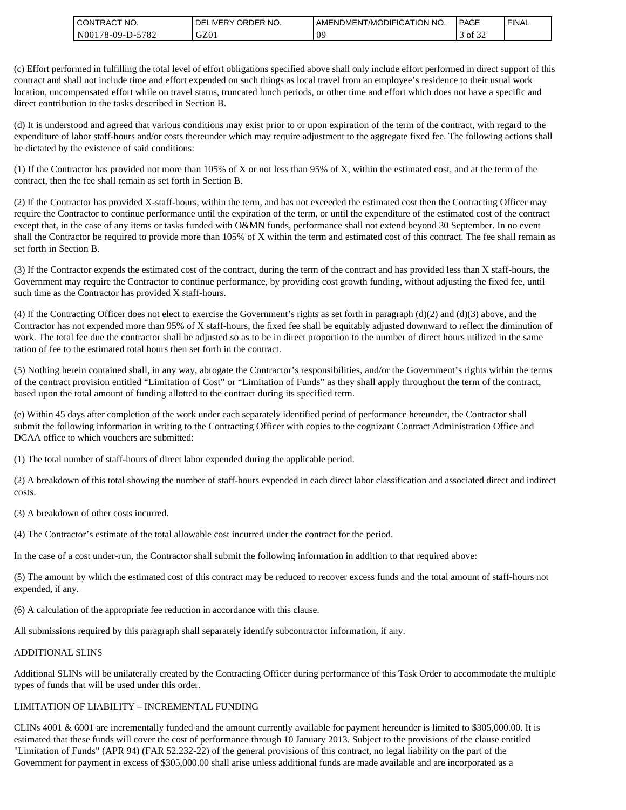| " NO.<br>l CON<br><b>'TRAC</b>                | NO.<br><b>ORDER</b><br><b>DELIVERY</b> | ATION NO.<br>AMENDMENT/MODIFICA | <b>PAGE</b>                | <b>FINAL</b> |
|-----------------------------------------------|----------------------------------------|---------------------------------|----------------------------|--------------|
| 5700<br>N <sub>00</sub><br>$78-09-D$ -<br>104 | GZ01                                   | ΩS                              | $\sim$ $\sim$<br>Οİ<br>-24 |              |

(c) Effort performed in fulfilling the total level of effort obligations specified above shall only include effort performed in direct support of this contract and shall not include time and effort expended on such things as local travel from an employee's residence to their usual work location, uncompensated effort while on travel status, truncated lunch periods, or other time and effort which does not have a specific and direct contribution to the tasks described in Section B.

(d) It is understood and agreed that various conditions may exist prior to or upon expiration of the term of the contract, with regard to the expenditure of labor staff-hours and/or costs thereunder which may require adjustment to the aggregate fixed fee. The following actions shall be dictated by the existence of said conditions:

(1) If the Contractor has provided not more than 105% of X or not less than 95% of X, within the estimated cost, and at the term of the contract, then the fee shall remain as set forth in Section B.

(2) If the Contractor has provided X-staff-hours, within the term, and has not exceeded the estimated cost then the Contracting Officer may require the Contractor to continue performance until the expiration of the term, or until the expenditure of the estimated cost of the contract except that, in the case of any items or tasks funded with O&MN funds, performance shall not extend beyond 30 September. In no event shall the Contractor be required to provide more than 105% of X within the term and estimated cost of this contract. The fee shall remain as set forth in Section B.

(3) If the Contractor expends the estimated cost of the contract, during the term of the contract and has provided less than X staff-hours, the Government may require the Contractor to continue performance, by providing cost growth funding, without adjusting the fixed fee, until such time as the Contractor has provided X staff-hours.

(4) If the Contracting Officer does not elect to exercise the Government's rights as set forth in paragraph (d)(2) and (d)(3) above, and the Contractor has not expended more than 95% of X staff-hours, the fixed fee shall be equitably adjusted downward to reflect the diminution of work. The total fee due the contractor shall be adjusted so as to be in direct proportion to the number of direct hours utilized in the same ration of fee to the estimated total hours then set forth in the contract.

(5) Nothing herein contained shall, in any way, abrogate the Contractor's responsibilities, and/or the Government's rights within the terms of the contract provision entitled "Limitation of Cost" or "Limitation of Funds" as they shall apply throughout the term of the contract, based upon the total amount of funding allotted to the contract during its specified term.

(e) Within 45 days after completion of the work under each separately identified period of performance hereunder, the Contractor shall submit the following information in writing to the Contracting Officer with copies to the cognizant Contract Administration Office and DCAA office to which vouchers are submitted:

(1) The total number of staff-hours of direct labor expended during the applicable period.

(2) A breakdown of this total showing the number of staff-hours expended in each direct labor classification and associated direct and indirect costs.

(3) A breakdown of other costs incurred.

(4) The Contractor's estimate of the total allowable cost incurred under the contract for the period.

In the case of a cost under-run, the Contractor shall submit the following information in addition to that required above:

(5) The amount by which the estimated cost of this contract may be reduced to recover excess funds and the total amount of staff-hours not expended, if any.

(6) A calculation of the appropriate fee reduction in accordance with this clause.

All submissions required by this paragraph shall separately identify subcontractor information, if any.

#### ADDITIONAL SLINS

Additional SLINs will be unilaterally created by the Contracting Officer during performance of this Task Order to accommodate the multiple types of funds that will be used under this order.

### LIMITATION OF LIABILITY – INCREMENTAL FUNDING

CLINs 4001 & 6001 are incrementally funded and the amount currently available for payment hereunder is limited to \$305,000.00. It is estimated that these funds will cover the cost of performance through 10 January 2013. Subject to the provisions of the clause entitled "Limitation of Funds" (APR 94) (FAR 52.232-22) of the general provisions of this contract, no legal liability on the part of the Government for payment in excess of \$305,000.00 shall arise unless additional funds are made available and are incorporated as a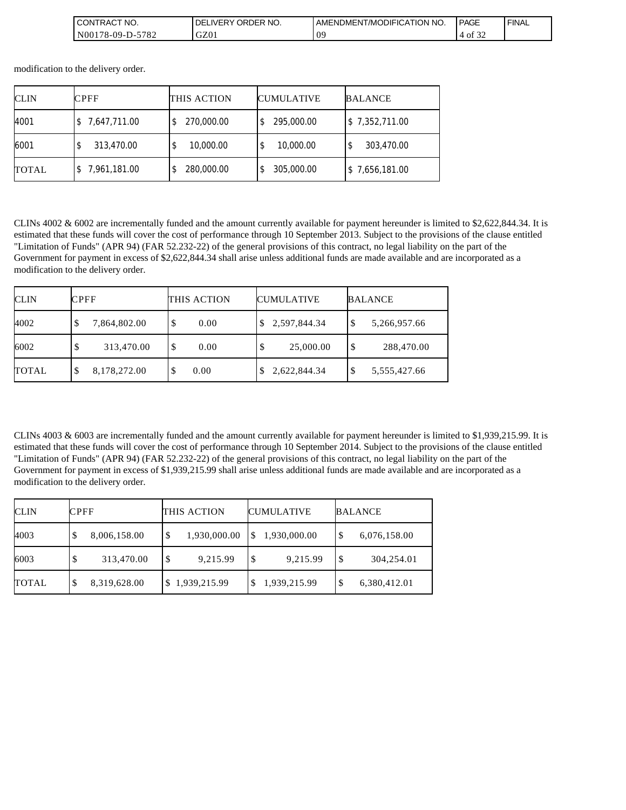| $\sim$<br>`NO.<br><b>CONTRAC</b>            | ORDER NO.<br>DE<br><b>IVERY</b> | <b>[/MODIFICATION</b><br><b>NO</b><br>AMENDMEN. | <b>PAGE</b>                  | <b>FINAL</b> |
|---------------------------------------------|---------------------------------|-------------------------------------------------|------------------------------|--------------|
| 5707<br>N00178-09-D<br>r<br>∕ ہ<br>$-$<br>∸ | $\sqrt{2}$<br><b>UZU1</b>       | 09                                              | $\sim$ $\sim$<br>- of<br>-22 |              |

modification to the delivery order.

| <b>CLIN</b>  | <b>CPFF</b>  | THIS ACTION      | <b>CUMULATIVE</b> | <b>BALANCE</b> |
|--------------|--------------|------------------|-------------------|----------------|
| 4001         | 7,647,711.00 | 270,000.00       | 295,000.00        | \$7,352,711.00 |
| 6001         | 313,470.00   | 10,000.00<br>\$  | 10,000.00         | 303,470.00     |
| <b>TOTAL</b> | 7,961,181.00 | 280,000.00<br>\$ | 305,000.00        | \$7,656,181.00 |

CLINs 4002 & 6002 are incrementally funded and the amount currently available for payment hereunder is limited to \$2,622,844.34. It is estimated that these funds will cover the cost of performance through 10 September 2013. Subject to the provisions of the clause entitled "Limitation of Funds" (APR 94) (FAR 52.232-22) of the general provisions of this contract, no legal liability on the part of the Government for payment in excess of \$2,622,844.34 shall arise unless additional funds are made available and are incorporated as a modification to the delivery order.

| <b>CLIN</b>  | <b>CPFF</b>       | THIS ACTION | <b>CUMULATIVE</b>  | <b>BALANCE</b>     |  |
|--------------|-------------------|-------------|--------------------|--------------------|--|
| 4002         | 7,864,802.00<br>Φ | \$<br>0.00  | 2,597,844.34<br>S. | 5,266,957.66<br>Φ  |  |
| 6002         | 313,470.00        | \$<br>0.00  | 25,000.00          | 288,470.00<br>\$   |  |
| <b>TOTAL</b> | 8,178,272.00<br>Φ | 0.00<br>S   | 2,622,844.34       | 5,555,427.66<br>٠D |  |

CLINs 4003 & 6003 are incrementally funded and the amount currently available for payment hereunder is limited to \$1,939,215.99. It is estimated that these funds will cover the cost of performance through 10 September 2014. Subject to the provisions of the clause entitled "Limitation of Funds" (APR 94) (FAR 52.232-22) of the general provisions of this contract, no legal liability on the part of the Government for payment in excess of \$1,939,215.99 shall arise unless additional funds are made available and are incorporated as a modification to the delivery order.

| <b>CLIN</b>  | <b>CPFF</b> |              | THIS ACTION |              | <b>CUMULATIVE</b> |              | <b>BALANCE</b> |              |
|--------------|-------------|--------------|-------------|--------------|-------------------|--------------|----------------|--------------|
| 4003         | S.          | 8,006,158.00 | S           | 1,930,000.00 |                   | 1,930,000.00 | \$             | 6,076,158.00 |
| 6003         | S           | 313,470.00   | S           | 9,215.99     |                   | 9,215.99     | S              | 304,254.01   |
| <b>TOTAL</b> | \$          | 8,319,628.00 |             | 1,939,215.99 |                   | 1,939,215.99 | \$             | 6,380,412.01 |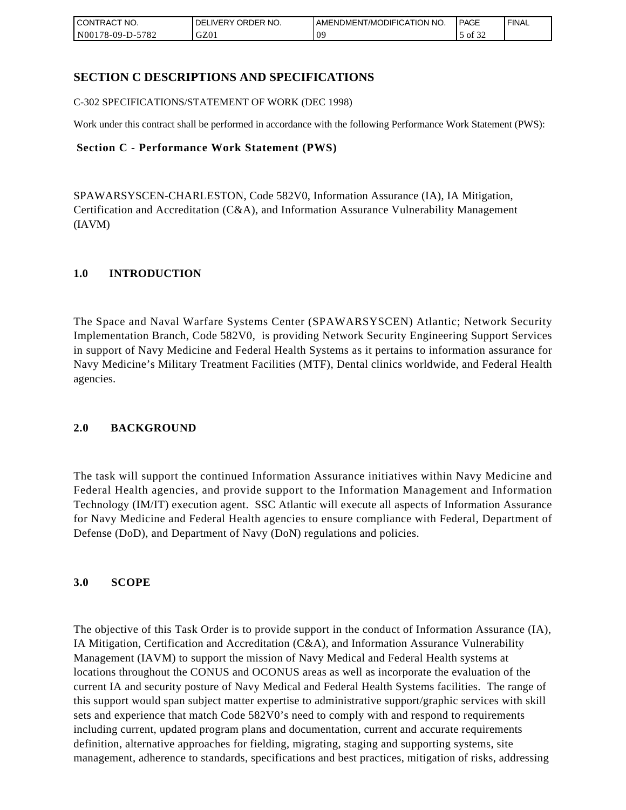| <b>CONTRACT NO.</b>    | NO.<br>ORDER <sup>'</sup><br><b>DELIVERY</b> | AMENDMENT/MODIFICATION NO. | <b>PAGE</b>            | ' FINAL |
|------------------------|----------------------------------------------|----------------------------|------------------------|---------|
| N00178-09-D-5<br>-5782 | GZ01                                         | 09                         | $\sim$ $\sim$<br>of 32 |         |

# **SECTION C DESCRIPTIONS AND SPECIFICATIONS**

C-302 SPECIFICATIONS/STATEMENT OF WORK (DEC 1998)

Work under this contract shall be performed in accordance with the following Performance Work Statement (PWS):

### **Section C - Performance Work Statement (PWS)**

SPAWARSYSCEN-CHARLESTON, Code 582V0, Information Assurance (IA), IA Mitigation, Certification and Accreditation (C&A), and Information Assurance Vulnerability Management (IAVM)

### **1.0 INTRODUCTION**

The Space and Naval Warfare Systems Center (SPAWARSYSCEN) Atlantic; Network Security Implementation Branch, Code 582V0, is providing Network Security Engineering Support Services in support of Navy Medicine and Federal Health Systems as it pertains to information assurance for Navy Medicine's Military Treatment Facilities (MTF), Dental clinics worldwide, and Federal Health agencies.

### **2.0 BACKGROUND**

The task will support the continued Information Assurance initiatives within Navy Medicine and Federal Health agencies, and provide support to the Information Management and Information Technology (IM/IT) execution agent. SSC Atlantic will execute all aspects of Information Assurance for Navy Medicine and Federal Health agencies to ensure compliance with Federal, Department of Defense (DoD), and Department of Navy (DoN) regulations and policies.

### **3.0 SCOPE**

The objective of this Task Order is to provide support in the conduct of Information Assurance (IA), IA Mitigation, Certification and Accreditation (C&A), and Information Assurance Vulnerability Management (IAVM) to support the mission of Navy Medical and Federal Health systems at locations throughout the CONUS and OCONUS areas as well as incorporate the evaluation of the current IA and security posture of Navy Medical and Federal Health Systems facilities. The range of this support would span subject matter expertise to administrative support/graphic services with skill sets and experience that match Code 582V0's need to comply with and respond to requirements including current, updated program plans and documentation, current and accurate requirements definition, alternative approaches for fielding, migrating, staging and supporting systems, site management, adherence to standards, specifications and best practices, mitigation of risks, addressing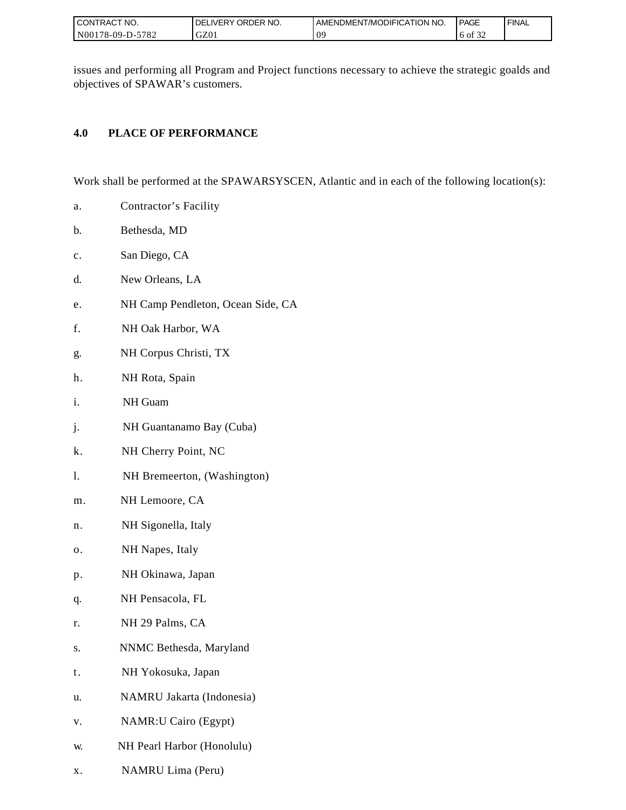| <b>CONTRACT NO.</b> | <b>I DELIVERY ORDER NO.</b> | I AMENDMENT/MODIFICATION NO. | <b>PAGE</b> | ' FINAL |
|---------------------|-----------------------------|------------------------------|-------------|---------|
| N00178-09-D-5782    | GZ0 <sub>1</sub>            | 0 <sup>o</sup>               | 0.22<br>0t  |         |

issues and performing all Program and Project functions necessary to achieve the strategic goalds and objectives of SPAWAR's customers.

# **4.0 PLACE OF PERFORMANCE**

Work shall be performed at the SPAWARSYSCEN, Atlantic and in each of the following location(s):

- a. Contractor's Facility
- b. Bethesda, MD
- c. San Diego, CA
- d. New Orleans, LA
- e. NH Camp Pendleton, Ocean Side, CA
- f. NH Oak Harbor, WA
- g. NH Corpus Christi, TX
- h. NH Rota, Spain
- i. NH Guam
- j. NH Guantanamo Bay (Cuba)
- k. NH Cherry Point, NC
- l. NH Bremeerton, (Washington)
- m. NH Lemoore, CA
- n. NH Sigonella, Italy
- o. NH Napes, Italy
- p. NH Okinawa, Japan
- q. NH Pensacola, FL
- r. NH 29 Palms, CA
- s. NNMC Bethesda, Maryland
- t. NH Yokosuka, Japan
- u. NAMRU Jakarta (Indonesia)
- v. NAMR:U Cairo (Egypt)
- w. NH Pearl Harbor (Honolulu)
- x. NAMRU Lima (Peru)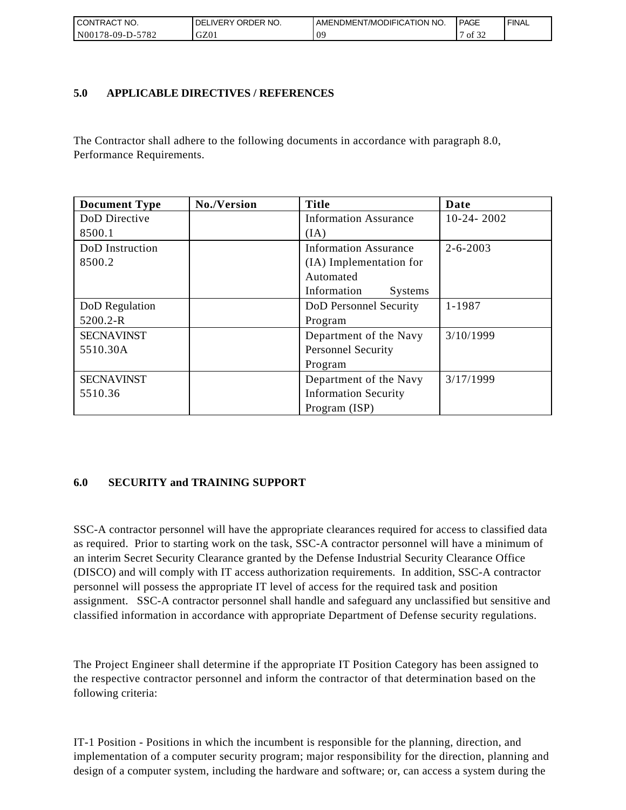| <b>CONTRACT NO.</b>                                   | ' ORDER NO.<br><b>DELIVERY</b> | AMENDMENT/MODIFICATION NO. | <b>PAGE</b>                | ' FINAL |
|-------------------------------------------------------|--------------------------------|----------------------------|----------------------------|---------|
| N <sub>00</sub><br>5782<br>$^{\circ}178 - 09 - D - 5$ | GZ01                           | 09                         | $\sim$ $\sim$<br>οt<br>ے ر |         |

## **5.0 APPLICABLE DIRECTIVES / REFERENCES**

The Contractor shall adhere to the following documents in accordance with paragraph 8.0, Performance Requirements.

| <b>Document Type</b> | No./Version | <b>Title</b>                 | Date           |
|----------------------|-------------|------------------------------|----------------|
| DoD Directive        |             | <b>Information Assurance</b> | $10-24-2002$   |
| 8500.1               |             | (IA)                         |                |
| DoD Instruction      |             | <b>Information Assurance</b> | $2 - 6 - 2003$ |
| 8500.2               |             | (IA) Implementation for      |                |
|                      |             | Automated                    |                |
|                      |             | Information<br>Systems       |                |
| DoD Regulation       |             | DoD Personnel Security       | 1-1987         |
| 5200.2-R             |             | Program                      |                |
| <b>SECNAVINST</b>    |             | Department of the Navy       | 3/10/1999      |
| 5510.30A             |             | <b>Personnel Security</b>    |                |
|                      |             | Program                      |                |
| <b>SECNAVINST</b>    |             | Department of the Navy       | 3/17/1999      |
| 5510.36              |             | <b>Information Security</b>  |                |
|                      |             | Program (ISP)                |                |

# **6.0 SECURITY and TRAINING SUPPORT**

SSC-A contractor personnel will have the appropriate clearances required for access to classified data as required. Prior to starting work on the task, SSC-A contractor personnel will have a minimum of an interim Secret Security Clearance granted by the Defense Industrial Security Clearance Office (DISCO) and will comply with IT access authorization requirements. In addition, SSC-A contractor personnel will possess the appropriate IT level of access for the required task and position assignment. SSC-A contractor personnel shall handle and safeguard any unclassified but sensitive and classified information in accordance with appropriate Department of Defense security regulations.

The Project Engineer shall determine if the appropriate IT Position Category has been assigned to the respective contractor personnel and inform the contractor of that determination based on the following criteria:

IT-1 Position - Positions in which the incumbent is responsible for the planning, direction, and implementation of a computer security program; major responsibility for the direction, planning and design of a computer system, including the hardware and software; or, can access a system during the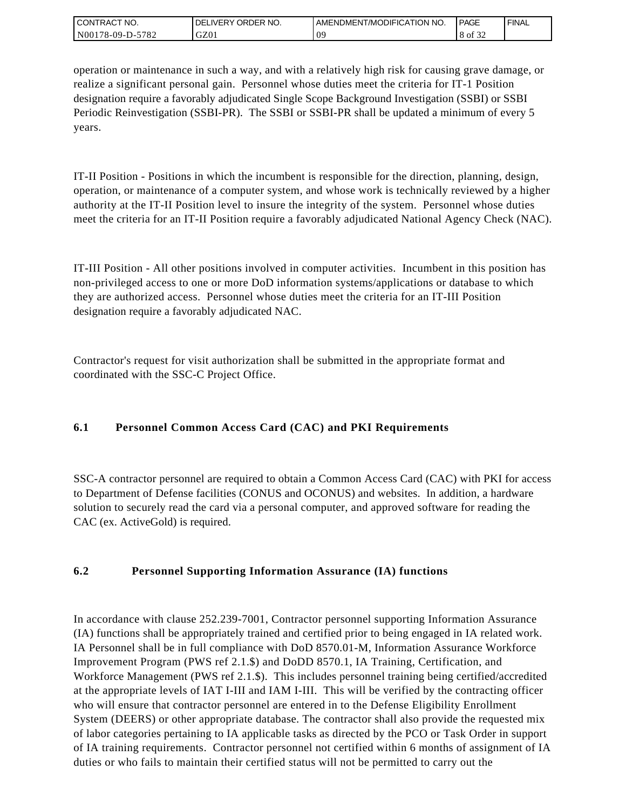| <b>CONTRACT NO.</b>   | ORDER NO.<br><b>IVERY</b><br>DELI | I AMENDMENT/MODIFICATION NO. | <b>PAGE</b> | ' FINAL |
|-----------------------|-----------------------------------|------------------------------|-------------|---------|
| N00178-09-D-5<br>5782 | GZ01                              | n<br>◡                       | 8 of<br>ے ر |         |

operation or maintenance in such a way, and with a relatively high risk for causing grave damage, or realize a significant personal gain. Personnel whose duties meet the criteria for IT-1 Position designation require a favorably adjudicated Single Scope Background Investigation (SSBI) or SSBI Periodic Reinvestigation (SSBI-PR). The SSBI or SSBI-PR shall be updated a minimum of every 5 years.

IT-II Position - Positions in which the incumbent is responsible for the direction, planning, design, operation, or maintenance of a computer system, and whose work is technically reviewed by a higher authority at the IT-II Position level to insure the integrity of the system. Personnel whose duties meet the criteria for an IT-II Position require a favorably adjudicated National Agency Check (NAC).

IT-III Position - All other positions involved in computer activities. Incumbent in this position has non-privileged access to one or more DoD information systems/applications or database to which they are authorized access. Personnel whose duties meet the criteria for an IT-III Position designation require a favorably adjudicated NAC.

Contractor's request for visit authorization shall be submitted in the appropriate format and coordinated with the SSC-C Project Office.

# **6.1 Personnel Common Access Card (CAC) and PKI Requirements**

SSC-A contractor personnel are required to obtain a Common Access Card (CAC) with PKI for access to Department of Defense facilities (CONUS and OCONUS) and websites. In addition, a hardware solution to securely read the card via a personal computer, and approved software for reading the CAC (ex. ActiveGold) is required.

# **6.2 Personnel Supporting Information Assurance (IA) functions**

In accordance with clause 252.239-7001, Contractor personnel supporting Information Assurance (IA) functions shall be appropriately trained and certified prior to being engaged in IA related work. IA Personnel shall be in full compliance with DoD 8570.01-M, Information Assurance Workforce Improvement Program (PWS ref 2.1.\$) and DoDD 8570.1, IA Training, Certification, and Workforce Management (PWS ref 2.1.\$). This includes personnel training being certified/accredited at the appropriate levels of IAT I-III and IAM I-III. This will be verified by the contracting officer who will ensure that contractor personnel are entered in to the Defense Eligibility Enrollment System (DEERS) or other appropriate database. The contractor shall also provide the requested mix of labor categories pertaining to IA applicable tasks as directed by the PCO or Task Order in support of IA training requirements. Contractor personnel not certified within 6 months of assignment of IA duties or who fails to maintain their certified status will not be permitted to carry out the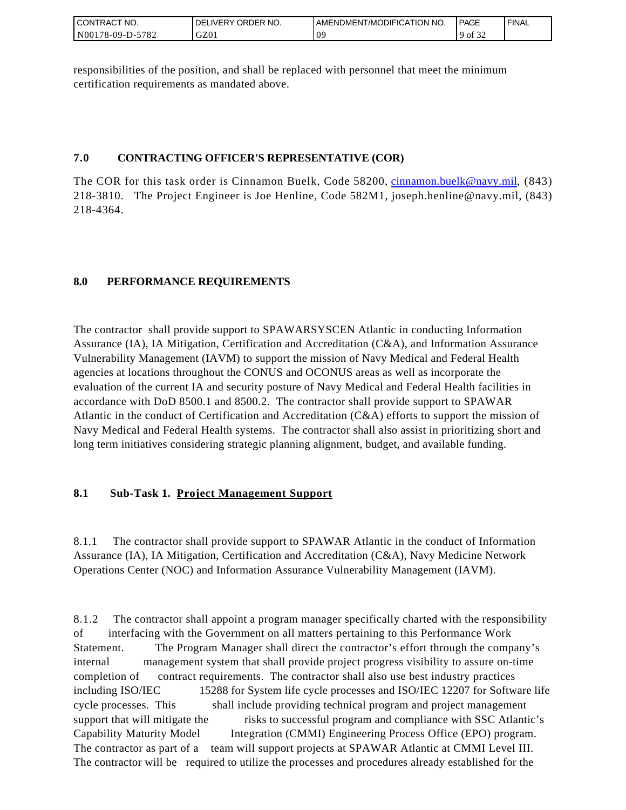| <b>CONTRACT NO.</b>                           | ORDER<br>NO.<br><b>DELIVERY</b> | AMENDMENT/MODIFICATION NO. | <b>PAGE</b>         | ' FINAL |
|-----------------------------------------------|---------------------------------|----------------------------|---------------------|---------|
| N00 <sub>1</sub><br>-5782<br>$178 - 09 - D -$ | GZ01                            | OS                         | 0.25<br>$9$ of $32$ |         |

responsibilities of the position, and shall be replaced with personnel that meet the minimum certification requirements as mandated above.

## **7.0 CONTRACTING OFFICER'S REPRESENTATIVE (COR)**

The COR for this task order is Cinnamon Buelk, Code 58200, [cinnamon.buelk@navy.mil,](mailto:cinnamon.buelk@navy.mil) (843) 218-3810. The Project Engineer is Joe Henline, Code 582M1, joseph.henline@navy.mil, (843) 218-4364.

# **8.0 PERFORMANCE REQUIREMENTS**

The contractor shall provide support to SPAWARSYSCEN Atlantic in conducting Information Assurance (IA), IA Mitigation, Certification and Accreditation (C&A), and Information Assurance Vulnerability Management (IAVM) to support the mission of Navy Medical and Federal Health agencies at locations throughout the CONUS and OCONUS areas as well as incorporate the evaluation of the current IA and security posture of Navy Medical and Federal Health facilities in accordance with DoD 8500.1 and 8500.2. The contractor shall provide support to SPAWAR Atlantic in the conduct of Certification and Accreditation (C&A) efforts to support the mission of Navy Medical and Federal Health systems. The contractor shall also assist in prioritizing short and long term initiatives considering strategic planning alignment, budget, and available funding.

# **8.1 Sub-Task 1. Project Management Support**

8.1.1 The contractor shall provide support to SPAWAR Atlantic in the conduct of Information Assurance (IA), IA Mitigation, Certification and Accreditation (C&A), Navy Medicine Network Operations Center (NOC) and Information Assurance Vulnerability Management (IAVM).

8.1.2 The contractor shall appoint a program manager specifically charted with the responsibility of interfacing with the Government on all matters pertaining to this Performance Work Statement. The Program Manager shall direct the contractor's effort through the company's internal management system that shall provide project progress visibility to assure on-time completion of contract requirements. The contractor shall also use best industry practices including ISO/IEC 15288 for System life cycle processes and ISO/IEC 12207 for Software life cycle processes. This shall include providing technical program and project management support that will mitigate the risks to successful program and compliance with SSC Atlantic's Capability Maturity Model Integration (CMMI) Engineering Process Office (EPO) program. The contractor as part of a team will support projects at SPAWAR Atlantic at CMMI Level III. The contractor will be required to utilize the processes and procedures already established for the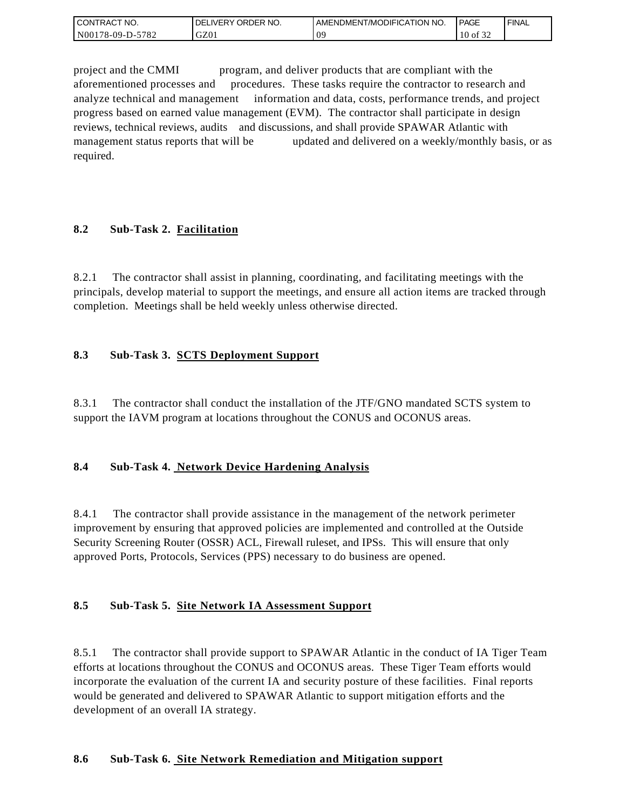| <b>CONTRACT NO.</b> | ' ORDER NO.<br><b>DELIVERY</b> | AMENDMENT/MODIFICATION NO. | <b>PAGE</b>  | ' FINAL |
|---------------------|--------------------------------|----------------------------|--------------|---------|
| N00178-09-D-5782    | GZ01                           | OS.<br>◡                   | $10$ of $3'$ |         |

project and the CMMI program, and deliver products that are compliant with the aforementioned processes and procedures. These tasks require the contractor to research and analyze technical and management information and data, costs, performance trends, and project progress based on earned value management (EVM). The contractor shall participate in design reviews, technical reviews, audits and discussions, and shall provide SPAWAR Atlantic with management status reports that will be updated and delivered on a weekly/monthly basis, or as required.

## **8.2 Sub-Task 2. Facilitation**

8.2.1 The contractor shall assist in planning, coordinating, and facilitating meetings with the principals, develop material to support the meetings, and ensure all action items are tracked through completion. Meetings shall be held weekly unless otherwise directed.

## **8.3 Sub-Task 3. SCTS Deployment Support**

8.3.1 The contractor shall conduct the installation of the JTF/GNO mandated SCTS system to support the IAVM program at locations throughout the CONUS and OCONUS areas.

### **8.4 Sub-Task 4. Network Device Hardening Analysis**

8.4.1 The contractor shall provide assistance in the management of the network perimeter improvement by ensuring that approved policies are implemented and controlled at the Outside Security Screening Router (OSSR) ACL, Firewall ruleset, and IPSs. This will ensure that only approved Ports, Protocols, Services (PPS) necessary to do business are opened.

### **8.5 Sub-Task 5. Site Network IA Assessment Support**

8.5.1 The contractor shall provide support to SPAWAR Atlantic in the conduct of IA Tiger Team efforts at locations throughout the CONUS and OCONUS areas. These Tiger Team efforts would incorporate the evaluation of the current IA and security posture of these facilities. Final reports would be generated and delivered to SPAWAR Atlantic to support mitigation efforts and the development of an overall IA strategy.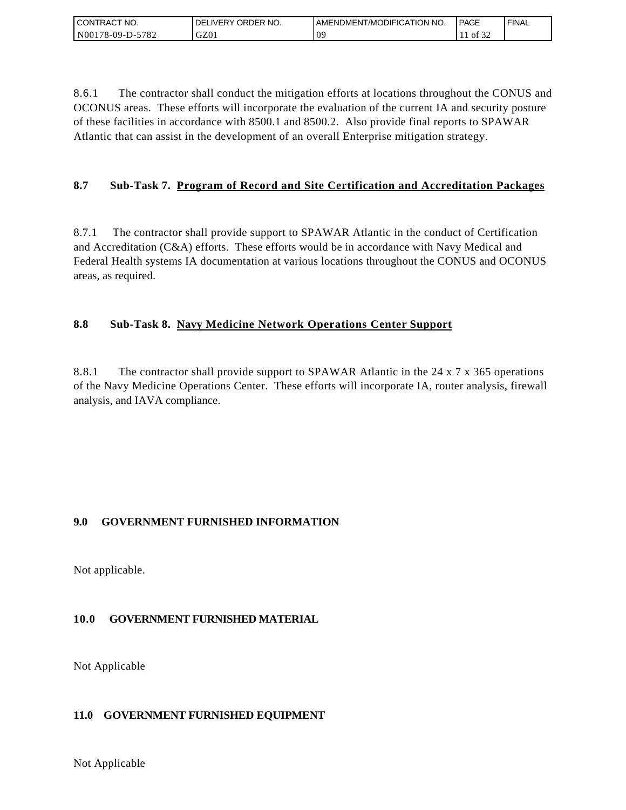| I CONTRACT NO.   | ' ORDER NO.<br><b>DELIVERY</b> | LAMENDMENT/MODIFICATION NO. | <b>PAGE</b> | `FINAL |
|------------------|--------------------------------|-----------------------------|-------------|--------|
| N00178-09-D-5782 | GZ01                           | $\Omega$<br>ັບ              | ΟÌ<br>-24   |        |

8.6.1 The contractor shall conduct the mitigation efforts at locations throughout the CONUS and OCONUS areas. These efforts will incorporate the evaluation of the current IA and security posture of these facilities in accordance with 8500.1 and 8500.2. Also provide final reports to SPAWAR Atlantic that can assist in the development of an overall Enterprise mitigation strategy.

# **8.7 Sub-Task 7. Program of Record and Site Certification and Accreditation Packages**

8.7.1 The contractor shall provide support to SPAWAR Atlantic in the conduct of Certification and Accreditation (C&A) efforts. These efforts would be in accordance with Navy Medical and Federal Health systems IA documentation at various locations throughout the CONUS and OCONUS areas, as required.

## **8.8 Sub-Task 8. Navy Medicine Network Operations Center Support**

8.8.1 The contractor shall provide support to SPAWAR Atlantic in the 24 x 7 x 365 operations of the Navy Medicine Operations Center. These efforts will incorporate IA, router analysis, firewall analysis, and IAVA compliance.

### **9.0 GOVERNMENT FURNISHED INFORMATION**

Not applicable.

# **10.0 GOVERNMENT FURNISHED MATERIAL**

Not Applicable

### **11.0 GOVERNMENT FURNISHED EQUIPMENT**

Not Applicable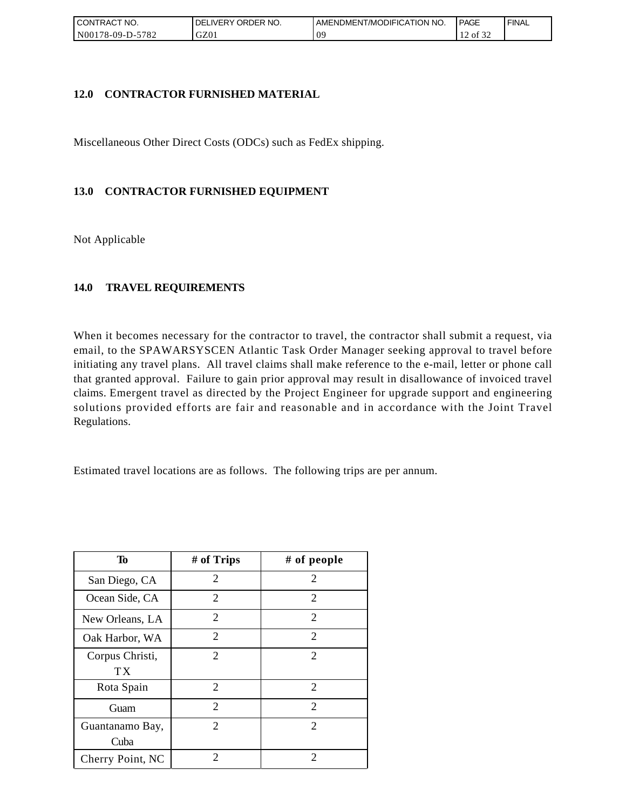| ' CONTRACT NO.          | ORDER NO.<br><b>DELIVERY</b> | AMENDMENT/MODIFICATION NO. | <b>PAGE</b>      | ' FINAL |
|-------------------------|------------------------------|----------------------------|------------------|---------|
| 5782<br>$NO0178-09-D-2$ | GZ01                         | ΩC<br>◡                    | ΟĪ<br>ے ر<br>. . |         |

### **12.0 CONTRACTOR FURNISHED MATERIAL**

Miscellaneous Other Direct Costs (ODCs) such as FedEx shipping.

## **13.0 CONTRACTOR FURNISHED EQUIPMENT**

Not Applicable

## **14.0 TRAVEL REQUIREMENTS**

When it becomes necessary for the contractor to travel, the contractor shall submit a request, via email, to the SPAWARSYSCEN Atlantic Task Order Manager seeking approval to travel before initiating any travel plans. All travel claims shall make reference to the e-mail, letter or phone call that granted approval. Failure to gain prior approval may result in disallowance of invoiced travel claims. Emergent travel as directed by the Project Engineer for upgrade support and engineering solutions provided efforts are fair and reasonable and in accordance with the Joint Travel Regulations.

Estimated travel locations are as follows. The following trips are per annum.

| To                      | # of Trips                  | # of people                 |
|-------------------------|-----------------------------|-----------------------------|
| San Diego, CA           | 2                           | 2                           |
| Ocean Side, CA          | 2                           | 2                           |
| New Orleans, LA         | $\overline{c}$              | 2                           |
| Oak Harbor, WA          | $\overline{2}$              | $\overline{2}$              |
| Corpus Christi,<br>ТX   | $\mathcal{D}_{\mathcal{L}}$ | $\mathcal{D}_{\mathcal{L}}$ |
| Rota Spain              | 2                           | 2                           |
| Guam                    | $\overline{2}$              | 2                           |
| Guantanamo Bay,<br>Cuba | $\mathcal{D}_{\mathcal{L}}$ | $\mathcal{D}_{\mathcal{L}}$ |
| Cherry Point, NC        | 2                           | 2                           |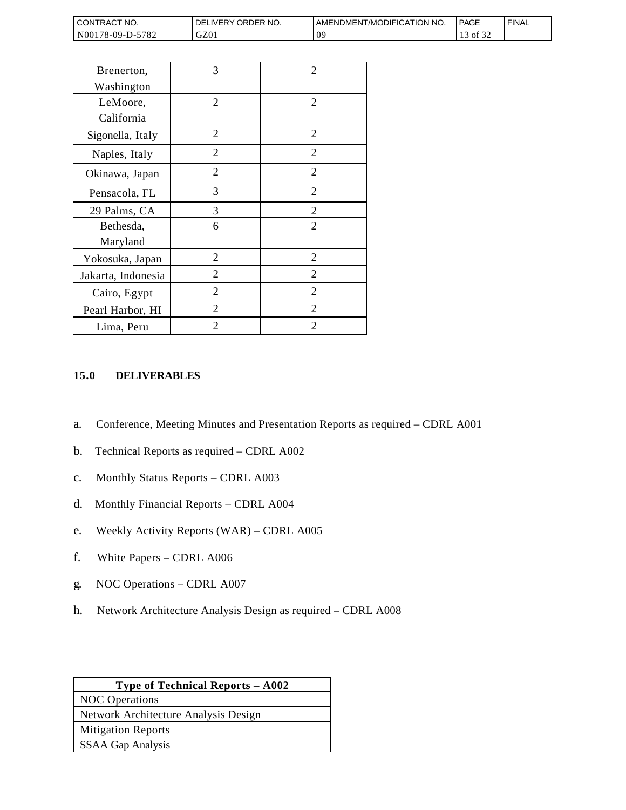| <b>CONTRACT NO.</b>               | ORDER<br>NO.<br><b>DELIVERY</b> | AMENDMENT/MODIFICATION NO. | <b>PAGE</b>                | ' FINAL |
|-----------------------------------|---------------------------------|----------------------------|----------------------------|---------|
| N001<br>5782<br>$3178 - 09 - D -$ | GZ01                            | ΩS                         | $\sim$ $\sim$ $\sim$<br>0Ī |         |

| CONTRACT NO.                                                                   | DELIVERY ORDER NO.                                                                                                                                                                                                                                            |                | AMENDMEN |
|--------------------------------------------------------------------------------|---------------------------------------------------------------------------------------------------------------------------------------------------------------------------------------------------------------------------------------------------------------|----------------|----------|
| N00178-09-D-5782                                                               | GZ01                                                                                                                                                                                                                                                          | 09             |          |
|                                                                                |                                                                                                                                                                                                                                                               |                |          |
| Brenerton,                                                                     | 3                                                                                                                                                                                                                                                             | 2              |          |
| Washington                                                                     |                                                                                                                                                                                                                                                               |                |          |
| LeMoore,                                                                       | 2                                                                                                                                                                                                                                                             | 2              |          |
| California                                                                     |                                                                                                                                                                                                                                                               |                |          |
| Sigonella, Italy                                                               | $\overline{2}$                                                                                                                                                                                                                                                | $\overline{2}$ |          |
| Naples, Italy                                                                  | $\overline{2}$                                                                                                                                                                                                                                                | $\overline{2}$ |          |
| Okinawa, Japan                                                                 | $\overline{2}$                                                                                                                                                                                                                                                | 2              |          |
| Pensacola, FL                                                                  | 3                                                                                                                                                                                                                                                             | 2              |          |
| 29 Palms, CA                                                                   | 3                                                                                                                                                                                                                                                             | $\overline{c}$ |          |
| Bethesda,                                                                      | 6                                                                                                                                                                                                                                                             | $\overline{2}$ |          |
| Maryland                                                                       |                                                                                                                                                                                                                                                               |                |          |
| Yokosuka, Japan                                                                | $\overline{2}$                                                                                                                                                                                                                                                | $\overline{2}$ |          |
| Jakarta, Indonesia                                                             | 2                                                                                                                                                                                                                                                             | $\overline{2}$ |          |
| Cairo, Egypt                                                                   | 2                                                                                                                                                                                                                                                             | 2              |          |
| Pearl Harbor, HI                                                               | $\overline{2}$                                                                                                                                                                                                                                                | 2              |          |
| Lima, Peru                                                                     | $\overline{2}$                                                                                                                                                                                                                                                | 2              |          |
| a.<br>b.<br>$\mathbf{C}$ .<br>d.<br>e.<br>f.<br>White Papers - CDRL A006<br>g. | Conference, Meeting Minutes and Presentation Reports a<br>Technical Reports as required - CDRL A002<br>Monthly Status Reports - CDRL A003<br>Monthly Financial Reports - CDRL A004<br>Weekly Activity Reports (WAR) - CDRL A005<br>NOC Operations - CDRL A007 |                |          |
| h.                                                                             | Network Architecture Analysis Design as required – CDI                                                                                                                                                                                                        |                |          |
|                                                                                | Type of Technical Reports - A002                                                                                                                                                                                                                              |                |          |
| <b>NOC</b> Operations                                                          | Network Architecture Analysis Design                                                                                                                                                                                                                          |                |          |
| <b>Mitigation Reports</b>                                                      |                                                                                                                                                                                                                                                               |                |          |
| <b>SSAA Gap Analysis</b>                                                       |                                                                                                                                                                                                                                                               |                |          |
|                                                                                |                                                                                                                                                                                                                                                               |                |          |

### **15.0 DELIVERABLES**

- a. Conference, Meeting Minutes and Presentation Reports as required CDRL A001
- b. Technical Reports as required CDRL A002
- c. Monthly Status Reports CDRL A003
- d. Monthly Financial Reports CDRL A004
- e. Weekly Activity Reports (WAR) CDRL A005
- f. White Papers CDRL A006
- g. NOC Operations CDRL A007
- h. Network Architecture Analysis Design as required CDRL A008

| <b>Type of Technical Reports – A002</b> |
|-----------------------------------------|
| <b>NOC</b> Operations                   |
| Network Architecture Analysis Design    |
| <b>Mitigation Reports</b>               |
| <b>SSAA Gap Analysis</b>                |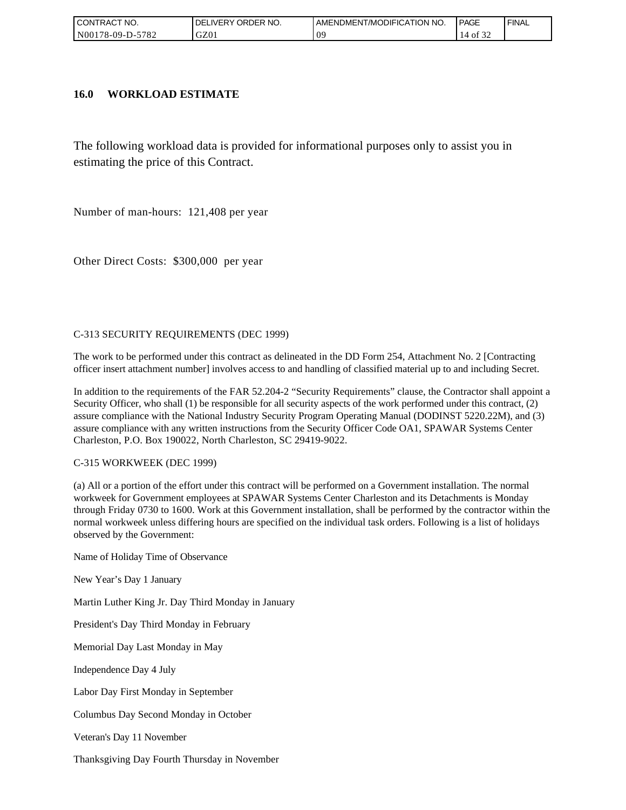| I CONTRACT NO.   | <b>ORDER</b><br>NO.<br>_IVERY<br>DELI | AMENDMENT/MODIFICATION NO. | <b>PAGE</b> | ' FINAL |
|------------------|---------------------------------------|----------------------------|-------------|---------|
| N00178-09-D-5782 | GZ01                                  | ΩS                         | ΟĪ<br>ے ر   |         |

### **16.0 WORKLOAD ESTIMATE**

The following workload data is provided for informational purposes only to assist you in estimating the price of this Contract.

Number of man-hours: 121,408 per year

Other Direct Costs: \$300,000 per year

#### C-313 SECURITY REQUIREMENTS (DEC 1999)

The work to be performed under this contract as delineated in the DD Form 254, Attachment No. 2 [Contracting officer insert attachment number] involves access to and handling of classified material up to and including Secret.

In addition to the requirements of the FAR 52.204-2 "Security Requirements" clause, the Contractor shall appoint a Security Officer, who shall (1) be responsible for all security aspects of the work performed under this contract, (2) assure compliance with the National Industry Security Program Operating Manual (DODINST 5220.22M), and (3) assure compliance with any written instructions from the Security Officer Code OA1, SPAWAR Systems Center Charleston, P.O. Box 190022, North Charleston, SC 29419-9022.

#### C-315 WORKWEEK (DEC 1999)

(a) All or a portion of the effort under this contract will be performed on a Government installation. The normal workweek for Government employees at SPAWAR Systems Center Charleston and its Detachments is Monday through Friday 0730 to 1600. Work at this Government installation, shall be performed by the contractor within the normal workweek unless differing hours are specified on the individual task orders. Following is a list of holidays observed by the Government:

Name of Holiday Time of Observance

New Year's Day 1 January

Martin Luther King Jr. Day Third Monday in January

President's Day Third Monday in February

Memorial Day Last Monday in May

Independence Day 4 July

Labor Day First Monday in September

Columbus Day Second Monday in October

Veteran's Day 11 November

Thanksgiving Day Fourth Thursday in November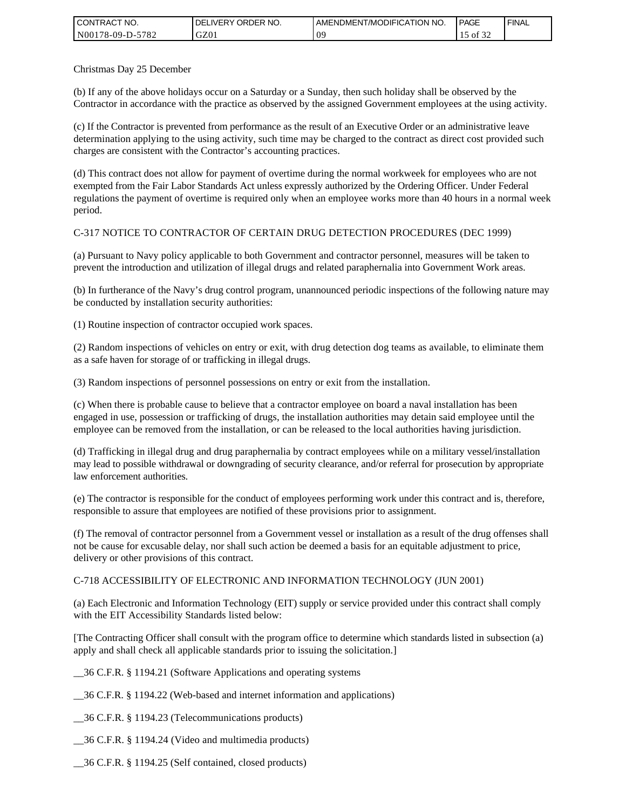| <b>CONTRACT NO.</b> | ' ORDER NO.<br><b>DELIVERY</b> | AMENDMENT/MODIFICATION NO. | PAGE              | ' FINAL |
|---------------------|--------------------------------|----------------------------|-------------------|---------|
| N00178-09-D-5782    | GZ01                           | 09                         | 0.22<br>ΟĪ<br>ے ر |         |

Christmas Day 25 December

(b) If any of the above holidays occur on a Saturday or a Sunday, then such holiday shall be observed by the Contractor in accordance with the practice as observed by the assigned Government employees at the using activity.

(c) If the Contractor is prevented from performance as the result of an Executive Order or an administrative leave determination applying to the using activity, such time may be charged to the contract as direct cost provided such charges are consistent with the Contractor's accounting practices.

(d) This contract does not allow for payment of overtime during the normal workweek for employees who are not exempted from the Fair Labor Standards Act unless expressly authorized by the Ordering Officer. Under Federal regulations the payment of overtime is required only when an employee works more than 40 hours in a normal week period.

### C-317 NOTICE TO CONTRACTOR OF CERTAIN DRUG DETECTION PROCEDURES (DEC 1999)

(a) Pursuant to Navy policy applicable to both Government and contractor personnel, measures will be taken to prevent the introduction and utilization of illegal drugs and related paraphernalia into Government Work areas.

(b) In furtherance of the Navy's drug control program, unannounced periodic inspections of the following nature may be conducted by installation security authorities:

(1) Routine inspection of contractor occupied work spaces.

(2) Random inspections of vehicles on entry or exit, with drug detection dog teams as available, to eliminate them as a safe haven for storage of or trafficking in illegal drugs.

(3) Random inspections of personnel possessions on entry or exit from the installation.

(c) When there is probable cause to believe that a contractor employee on board a naval installation has been engaged in use, possession or trafficking of drugs, the installation authorities may detain said employee until the employee can be removed from the installation, or can be released to the local authorities having jurisdiction.

(d) Trafficking in illegal drug and drug paraphernalia by contract employees while on a military vessel/installation may lead to possible withdrawal or downgrading of security clearance, and/or referral for prosecution by appropriate law enforcement authorities.

(e) The contractor is responsible for the conduct of employees performing work under this contract and is, therefore, responsible to assure that employees are notified of these provisions prior to assignment.

(f) The removal of contractor personnel from a Government vessel or installation as a result of the drug offenses shall not be cause for excusable delay, nor shall such action be deemed a basis for an equitable adjustment to price, delivery or other provisions of this contract.

#### C-718 ACCESSIBILITY OF ELECTRONIC AND INFORMATION TECHNOLOGY (JUN 2001)

(a) Each Electronic and Information Technology (EIT) supply or service provided under this contract shall comply with the EIT Accessibility Standards listed below:

[The Contracting Officer shall consult with the program office to determine which standards listed in subsection (a) apply and shall check all applicable standards prior to issuing the solicitation.]

\_\_36 C.F.R. § 1194.21 (Software Applications and operating systems

\_\_36 C.F.R. § 1194.22 (Web-based and internet information and applications)

\_\_36 C.F.R. § 1194.23 (Telecommunications products)

\_\_36 C.F.R. § 1194.24 (Video and multimedia products)

\_\_36 C.F.R. § 1194.25 (Self contained, closed products)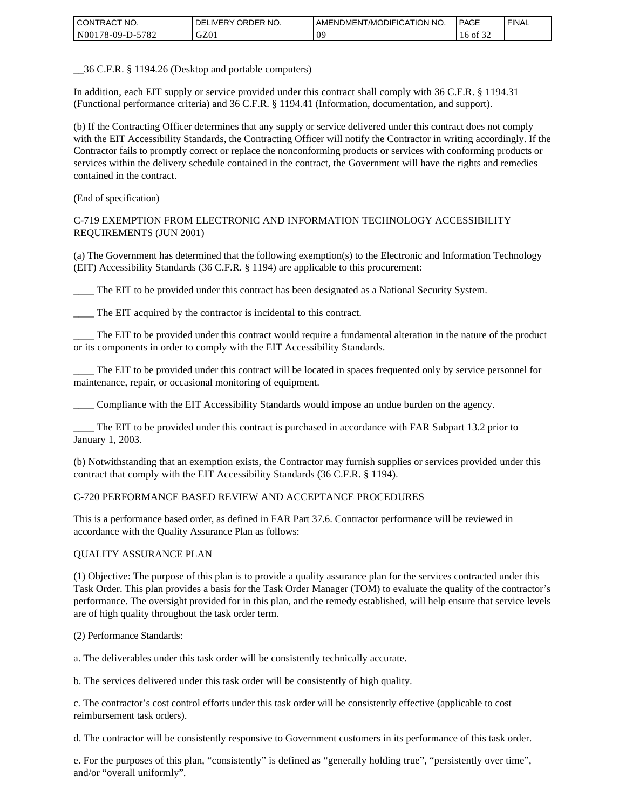| <b>CONTRACT NO.</b>  | ORDER<br>NO.<br><b>DELIVERY</b> | AMENDMENT/MODIFICATION NO. | <b>PAGE</b>                   | ' FINAL |
|----------------------|---------------------------------|----------------------------|-------------------------------|---------|
| N00178-09-D-<br>5782 | GZ01                            | ΩS                         | $\sim$ $\sim$ $\sim$<br>16 of |         |

\_\_36 C.F.R. § 1194.26 (Desktop and portable computers)

In addition, each EIT supply or service provided under this contract shall comply with 36 C.F.R. § 1194.31 (Functional performance criteria) and 36 C.F.R. § 1194.41 (Information, documentation, and support).

(b) If the Contracting Officer determines that any supply or service delivered under this contract does not comply with the EIT Accessibility Standards, the Contracting Officer will notify the Contractor in writing accordingly. If the Contractor fails to promptly correct or replace the nonconforming products or services with conforming products or services within the delivery schedule contained in the contract, the Government will have the rights and remedies contained in the contract.

(End of specification)

#### C-719 EXEMPTION FROM ELECTRONIC AND INFORMATION TECHNOLOGY ACCESSIBILITY REQUIREMENTS (JUN 2001)

(a) The Government has determined that the following exemption(s) to the Electronic and Information Technology (EIT) Accessibility Standards (36 C.F.R. § 1194) are applicable to this procurement:

\_\_\_\_ The EIT to be provided under this contract has been designated as a National Security System.

The EIT acquired by the contractor is incidental to this contract.

\_\_\_\_ The EIT to be provided under this contract would require a fundamental alteration in the nature of the product or its components in order to comply with the EIT Accessibility Standards.

\_\_\_\_ The EIT to be provided under this contract will be located in spaces frequented only by service personnel for maintenance, repair, or occasional monitoring of equipment.

\_\_\_\_ Compliance with the EIT Accessibility Standards would impose an undue burden on the agency.

The EIT to be provided under this contract is purchased in accordance with FAR Subpart 13.2 prior to January 1, 2003.

(b) Notwithstanding that an exemption exists, the Contractor may furnish supplies or services provided under this contract that comply with the EIT Accessibility Standards (36 C.F.R. § 1194).

#### C-720 PERFORMANCE BASED REVIEW AND ACCEPTANCE PROCEDURES

This is a performance based order, as defined in FAR Part 37.6. Contractor performance will be reviewed in accordance with the Quality Assurance Plan as follows:

#### QUALITY ASSURANCE PLAN

(1) Objective: The purpose of this plan is to provide a quality assurance plan for the services contracted under this Task Order. This plan provides a basis for the Task Order Manager (TOM) to evaluate the quality of the contractor's performance. The oversight provided for in this plan, and the remedy established, will help ensure that service levels are of high quality throughout the task order term.

(2) Performance Standards:

a. The deliverables under this task order will be consistently technically accurate.

b. The services delivered under this task order will be consistently of high quality.

c. The contractor's cost control efforts under this task order will be consistently effective (applicable to cost reimbursement task orders).

d. The contractor will be consistently responsive to Government customers in its performance of this task order.

e. For the purposes of this plan, "consistently" is defined as "generally holding true", "persistently over time", and/or "overall uniformly".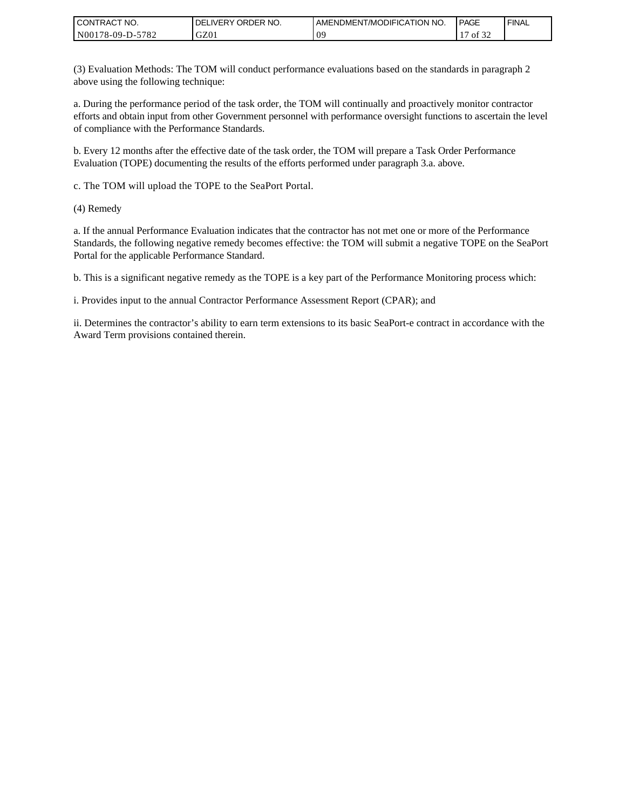| I CONTRACT NO.         | ORDER NO.<br><b>DELIVERY</b> | AMENDMENT/MODIFICATION NO. | <b>PAGE</b> | ' FINAL |
|------------------------|------------------------------|----------------------------|-------------|---------|
| N00178-09-D-5<br>-5782 | GZ01                         | ሰር<br>◡                    | 0.25<br>ΟĪ  |         |

(3) Evaluation Methods: The TOM will conduct performance evaluations based on the standards in paragraph 2 above using the following technique:

a. During the performance period of the task order, the TOM will continually and proactively monitor contractor efforts and obtain input from other Government personnel with performance oversight functions to ascertain the level of compliance with the Performance Standards.

b. Every 12 months after the effective date of the task order, the TOM will prepare a Task Order Performance Evaluation (TOPE) documenting the results of the efforts performed under paragraph 3.a. above.

c. The TOM will upload the TOPE to the SeaPort Portal.

(4) Remedy

a. If the annual Performance Evaluation indicates that the contractor has not met one or more of the Performance Standards, the following negative remedy becomes effective: the TOM will submit a negative TOPE on the SeaPort Portal for the applicable Performance Standard.

b. This is a significant negative remedy as the TOPE is a key part of the Performance Monitoring process which:

i. Provides input to the annual Contractor Performance Assessment Report (CPAR); and

ii. Determines the contractor's ability to earn term extensions to its basic SeaPort-e contract in accordance with the Award Term provisions contained therein.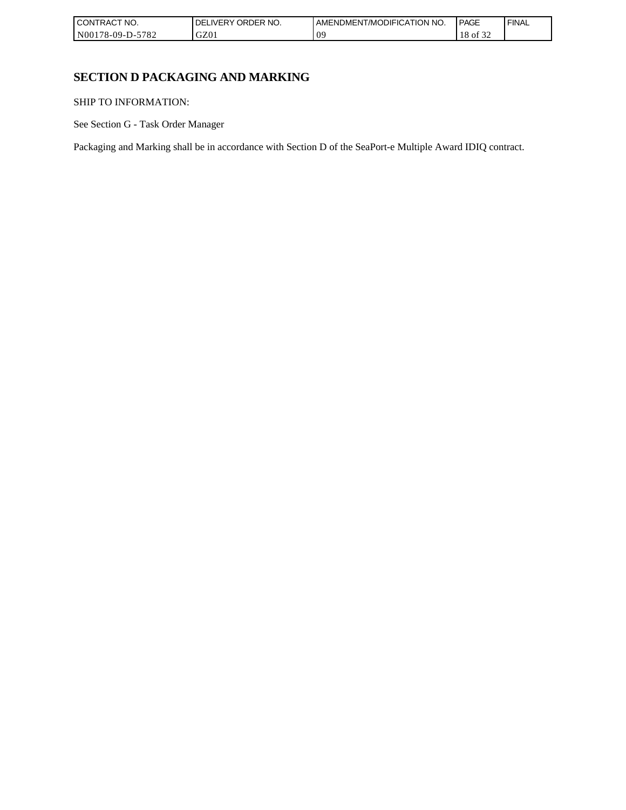| I CONT'<br>`CT NO.<br>[RAC  | ORDER NO.<br>، IVFRY | <b>I AMENDMENT/MODIFICATION NO.</b> | <b>PAGE</b>         | <b>FINAL</b> |
|-----------------------------|----------------------|-------------------------------------|---------------------|--------------|
| N00178-09-D-<br>5700<br>ے ہ | GZ01                 | 0 <sup>o</sup>                      | $\sim$<br>ΟĪ<br>-24 |              |

# **SECTION D PACKAGING AND MARKING**

SHIP TO INFORMATION:

See Section G - Task Order Manager

Packaging and Marking shall be in accordance with Section D of the SeaPort-e Multiple Award IDIQ contract.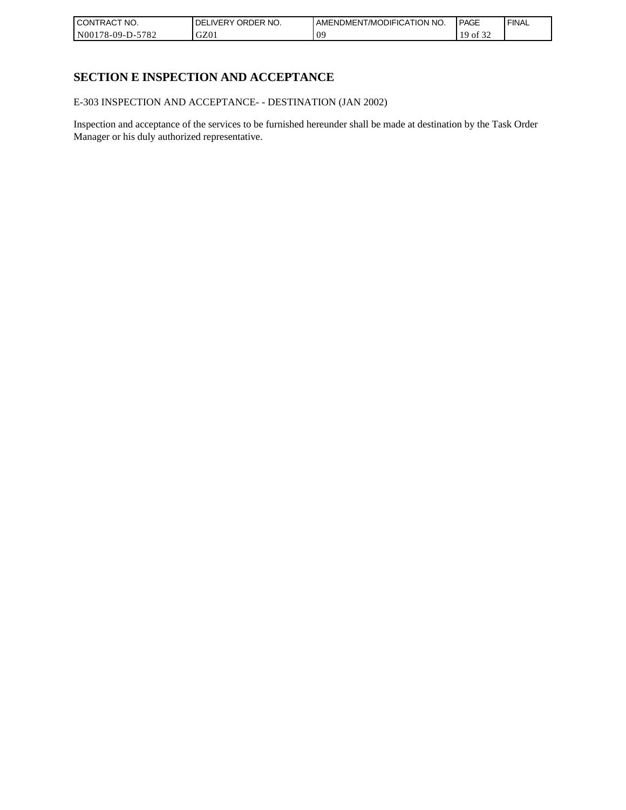| <b>CONTRACT NO.</b> | ' ORDER NO.<br><b>DELIVERY</b> | AMENDMENT/MODIFICATION NO. | PAGE              | ' FINAL |
|---------------------|--------------------------------|----------------------------|-------------------|---------|
| N00178-09-D-5782    | GZ01                           | 09                         | 0.22<br>ΟĪ<br>ے ر |         |

# **SECTION E INSPECTION AND ACCEPTANCE**

E-303 INSPECTION AND ACCEPTANCE- - DESTINATION (JAN 2002)

Inspection and acceptance of the services to be furnished hereunder shall be made at destination by the Task Order Manager or his duly authorized representative.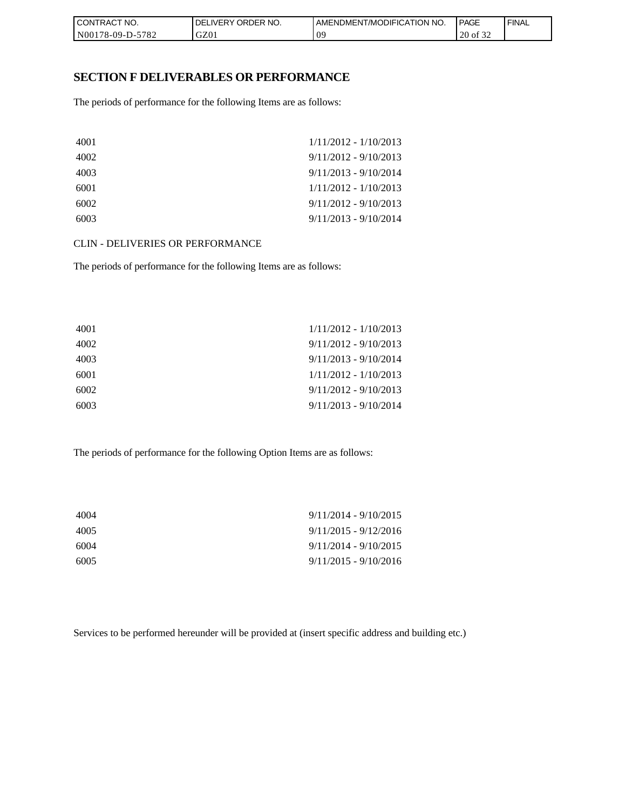| I CONTRACT NO.         | NO.<br>' ORDER<br><b>DELIVERY</b> | AMENDMENT/MODIFICATION<br>I NO. | <b>PAGE</b>      | <b>FINAL</b> |
|------------------------|-----------------------------------|---------------------------------|------------------|--------------|
| N00178-09-D-5<br>-5782 | GZ01                              | 09                              | 20<br>∣ot<br>ے ر |              |

### **SECTION F DELIVERABLES OR PERFORMANCE**

The periods of performance for the following Items are as follows:

| 4001 | $1/11/2012 - 1/10/2013$ |
|------|-------------------------|
| 4002 | $9/11/2012 - 9/10/2013$ |
| 4003 | $9/11/2013 - 9/10/2014$ |
| 6001 | $1/11/2012 - 1/10/2013$ |
| 6002 | $9/11/2012 - 9/10/2013$ |
| 6003 | $9/11/2013 - 9/10/2014$ |

CLIN - DELIVERIES OR PERFORMANCE

The periods of performance for the following Items are as follows:

| 4001 | $1/11/2012 - 1/10/2013$ |
|------|-------------------------|
| 4002 | $9/11/2012 - 9/10/2013$ |
| 4003 | $9/11/2013 - 9/10/2014$ |
| 6001 | 1/11/2012 - 1/10/2013   |
| 6002 | $9/11/2012 - 9/10/2013$ |
| 6003 | $9/11/2013 - 9/10/2014$ |

The periods of performance for the following Option Items are as follows:

| 4004 | $9/11/2014 - 9/10/2015$ |
|------|-------------------------|
| 4005 | $9/11/2015 - 9/12/2016$ |
| 6004 | $9/11/2014 - 9/10/2015$ |
| 6005 | $9/11/2015 - 9/10/2016$ |

Services to be performed hereunder will be provided at (insert specific address and building etc.)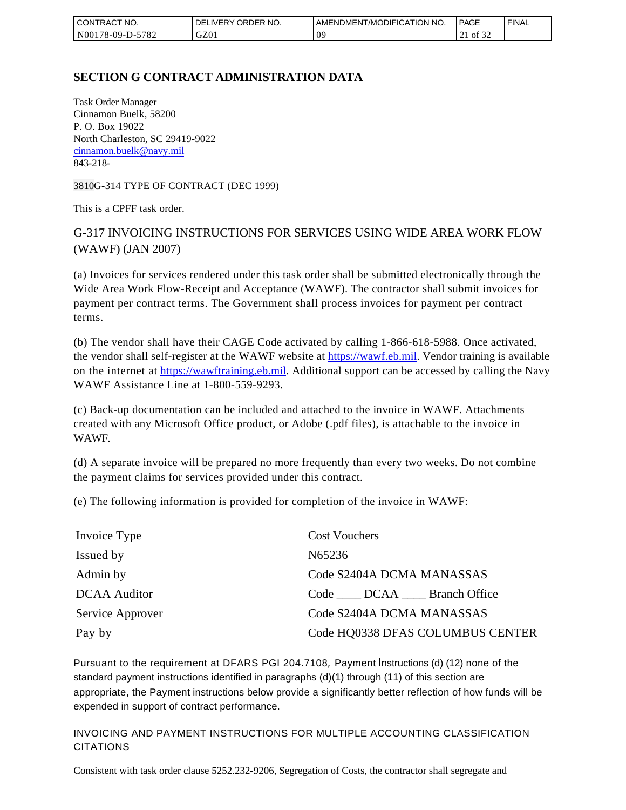| l CON<br>FRACT NO.                  | ORDER NO.<br><b>IVERY</b><br>DELI | AMENDMENT/MODIFICATION NO. | <b>PAGE</b> | ' FINAL |
|-------------------------------------|-----------------------------------|----------------------------|-------------|---------|
| 5782<br>N001<br>$-09-D$ -<br>՝ 78-Ն | GZ01                              | ΩC<br>◡                    | ОĪ<br>∠⊥    |         |

# **SECTION G CONTRACT ADMINISTRATION DATA**

Task Order Manager Cinnamon Buelk, 58200 P. O. Box 19022 North Charleston, SC 29419-9022 [cinnamon.buelk@navy.mil](mailto:cinnamon.buelk@navy.mil) 843-218-

3810G-314 TYPE OF CONTRACT (DEC 1999)

This is a CPFF task order.

# G-317 INVOICING INSTRUCTIONS FOR SERVICES USING WIDE AREA WORK FLOW (WAWF) (JAN 2007)

(a) Invoices for services rendered under this task order shall be submitted electronically through the Wide Area Work Flow-Receipt and Acceptance (WAWF). The contractor shall submit invoices for payment per contract terms. The Government shall process invoices for payment per contract terms.

(b) The vendor shall have their CAGE Code activated by calling 1-866-618-5988. Once activated, the vendor shall self-register at the WAWF website at [https://wawf.eb.mil.](https://wawf.eb.mil/) Vendor training is available on the internet at [https://wawftraining.eb.mil.](https://wawftraining.eb.mil/) Additional support can be accessed by calling the Navy WAWF Assistance Line at 1-800-559-9293.

(c) Back-up documentation can be included and attached to the invoice in WAWF. Attachments created with any Microsoft Office product, or Adobe (.pdf files), is attachable to the invoice in WAWF.

(d) A separate invoice will be prepared no more frequently than every two weeks. Do not combine the payment claims for services provided under this contract.

(e) The following information is provided for completion of the invoice in WAWF:

| Invoice Type        | <b>Cost Vouchers</b>             |
|---------------------|----------------------------------|
| Issued by           | N65236                           |
| Admin by            | Code S2404A DCMA MANASSAS        |
| <b>DCAA</b> Auditor | Code DCAA Branch Office          |
| Service Approver    | Code S2404A DCMA MANASSAS        |
| Pay by              | Code HQ0338 DFAS COLUMBUS CENTER |

Pursuant to the requirement at DFARS PGI 204.7108, Payment Instructions (d) (12) none of the standard payment instructions identified in paragraphs (d)(1) through (11) of this section are appropriate, the Payment instructions below provide a significantly better reflection of how funds will be expended in support of contract performance.

INVOICING AND PAYMENT INSTRUCTIONS FOR MULTIPLE ACCOUNTING CLASSIFICATION CITATIONS

Consistent with task order clause 5252.232-9206, Segregation of Costs, the contractor shall segregate and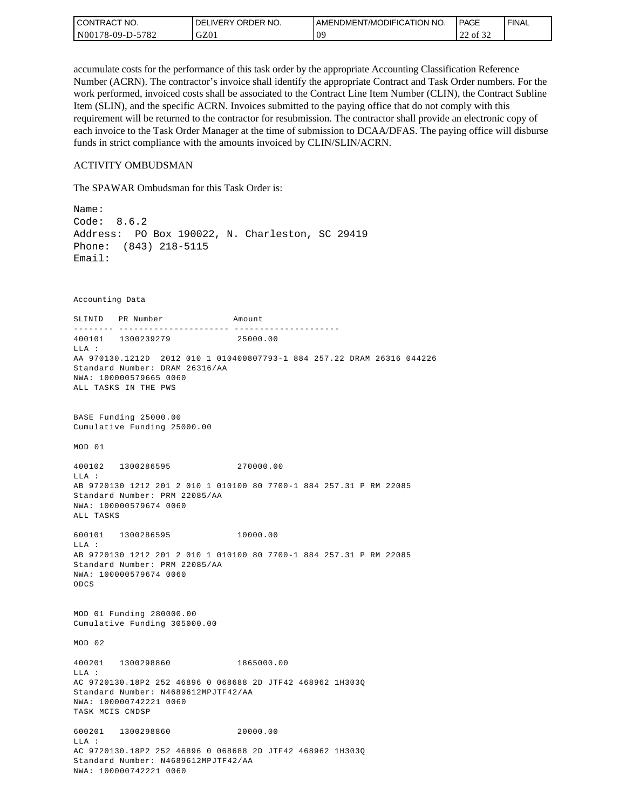| l CON <sup>-</sup><br>TRACT NO. | ORDER NO.<br>_IVERY<br>DELI | AMENDMENT/MODIFICATION NO. | <b>PAGE</b>                                | ' FINAL |
|---------------------------------|-----------------------------|----------------------------|--------------------------------------------|---------|
| 5782<br>N00178-09-D-:           | GZ01                        | ng<br>◡                    | $\sim$ $\sim$ $\sim$<br>$\sim$<br>22 of 32 |         |

accumulate costs for the performance of this task order by the appropriate Accounting Classification Reference Number (ACRN). The contractor's invoice shall identify the appropriate Contract and Task Order numbers. For the work performed, invoiced costs shall be associated to the Contract Line Item Number (CLIN), the Contract Subline Item (SLIN), and the specific ACRN. Invoices submitted to the paying office that do not comply with this requirement will be returned to the contractor for resubmission. The contractor shall provide an electronic copy of each invoice to the Task Order Manager at the time of submission to DCAA/DFAS. The paying office will disburse funds in strict compliance with the amounts invoiced by CLIN/SLIN/ACRN.

#### ACTIVITY OMBUDSMAN

The SPAWAR Ombudsman for this Task Order is:

Name: Code: 8.6.2 Address: PO Box 190022, N. Charleston, SC 29419 Phone: (843) 218-5115 Email: Accounting Data SLINID PR Number Amount -------- ---------------------- ---------------------400101 1300239279 25000.00 LLA : AA 970130.1212D 2012 010 1 010400807793-1 884 257.22 DRAM 26316 044226 Standard Number: DRAM 26316/AA NWA: 100000579665 0060 ALL TASKS IN THE PWS BASE Funding 25000.00 Cumulative Funding 25000.00 MOD 01 400102 1300286595 270000.00  $T.T.A$  : AB 9720130 1212 201 2 010 1 010100 80 7700-1 884 257.31 P RM 22085 Standard Number: PRM 22085/AA NWA: 100000579674 0060 ALL TASKS 600101 1300286595 10000.00 LLA : AB 9720130 1212 201 2 010 1 010100 80 7700-1 884 257.31 P RM 22085 Standard Number: PRM 22085/AA NWA: 100000579674 0060 ODCS MOD 01 Funding 280000.00 Cumulative Funding 305000.00 MOD 02 400201 1300298860 1865000.00 LLA : AC 9720130.18P2 252 46896 0 068688 2D JTF42 468962 1H303Q Standard Number: N4689612MPJTF42/AA NWA: 100000742221 0060 TASK MCIS CNDSP 600201 1300298860 20000.00 LLA : AC 9720130.18P2 252 46896 0 068688 2D JTF42 468962 1H303Q Standard Number: N4689612MPJTF42/AA NWA: 100000742221 0060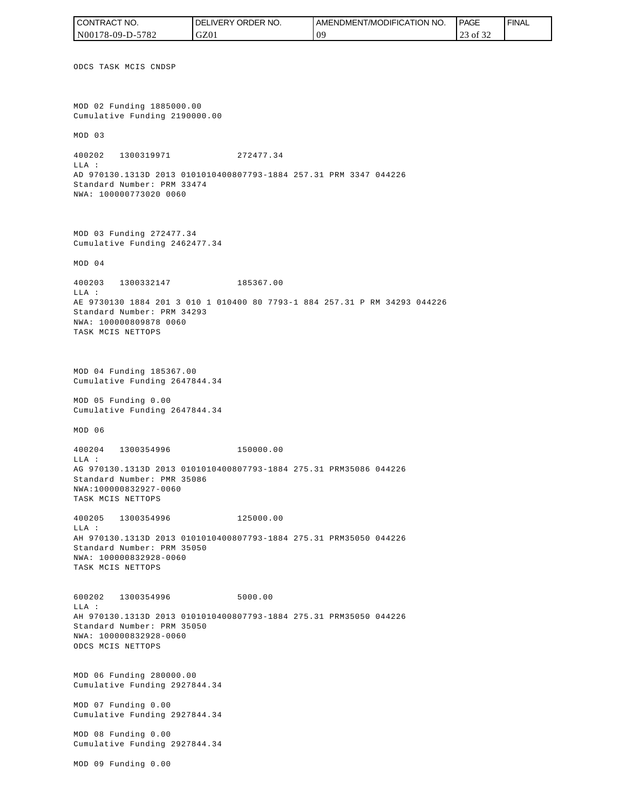ODCS TASK MCIS CNDSP MOD 02 Funding 1885000.00 Cumulative Funding 2190000.00 MOD 03 400202 1300319971 272477.34 LLA : AD 970130.1313D 2013 0101010400807793-1884 257.31 PRM 3347 044226 Standard Number: PRM 33474 NWA: 100000773020 0060 MOD 03 Funding 272477.34 Cumulative Funding 2462477.34 MOD 04 400203 1300332147 185367.00 LLA : AE 9730130 1884 201 3 010 1 010400 80 7793-1 884 257.31 P RM 34293 044226 Standard Number: PRM 34293 NWA: 100000809878 0060 TASK MCIS NETTOPS MOD 04 Funding 185367.00 Cumulative Funding 2647844.34 MOD 05 Funding 0.00 Cumulative Funding 2647844.34 MOD 06 400204 1300354996 150000.00 LLA : AG 970130.1313D 2013 0101010400807793-1884 275.31 PRM35086 044226 Standard Number: PMR 35086 NWA:100000832927-0060 TASK MCIS NETTOPS 400205 1300354996 125000.00 LLA : AH 970130.1313D 2013 0101010400807793-1884 275.31 PRM35050 044226 Standard Number: PRM 35050 NWA: 100000832928-0060 TASK MCIS NETTOPS 600202 1300354996 5000.00 LLA : AH 970130.1313D 2013 0101010400807793-1884 275.31 PRM35050 044226 Standard Number: PRM 35050 NWA: 100000832928-0060 ODCS MCIS NETTOPS MOD 06 Funding 280000.00 Cumulative Funding 2927844.34 MOD 07 Funding 0.00 Cumulative Funding 2927844.34 MOD 08 Funding 0.00 Cumulative Funding 2927844.34 MOD 09 Funding 0.00 CONTRACT NO. N00178-09-D-5782 DELIVERY ORDER NO. GZ01 AMENDMENT/MODIFICATION NO. 09 **PAGE**  23 of 32 FINAL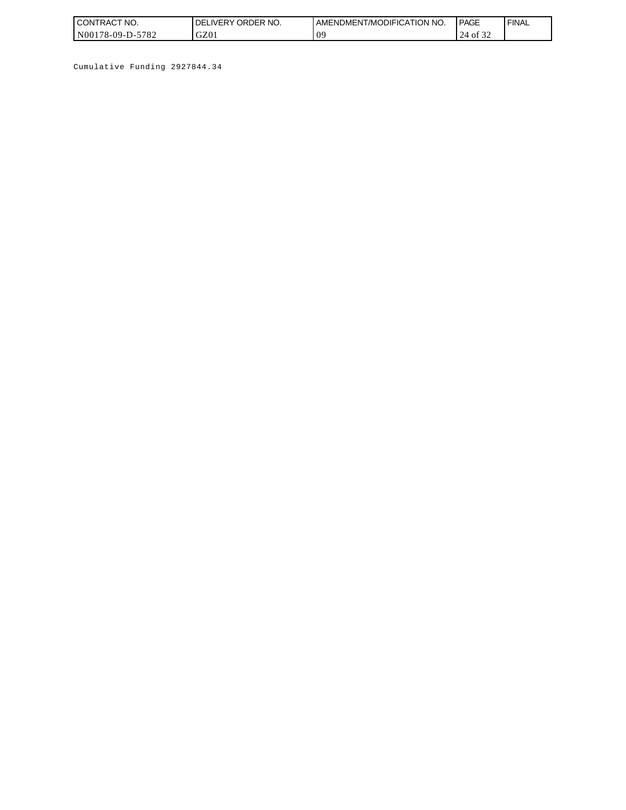| <b>CONTRACT NO.</b> | ORDER NO.<br><b>DELIVERY</b> | I AMENDMENT/MODIFICATION NO. | <b>PAGE</b> | ' FINAL |
|---------------------|------------------------------|------------------------------|-------------|---------|
| N00178-09-D-5782    | GZ01                         | ΛC<br>v                      | 24<br>ΟĪ    |         |

Cumulative Funding 2927844.34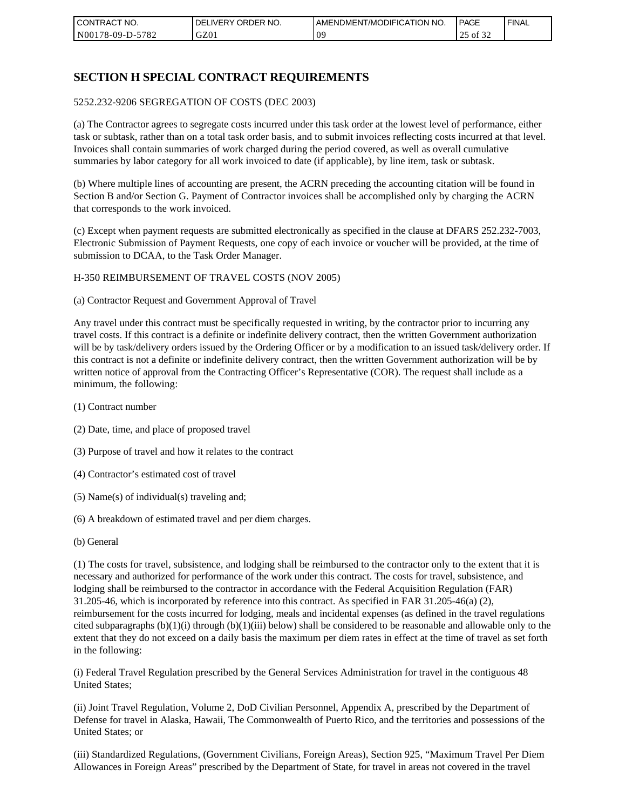| l CON <sup>-</sup><br>'TRACT NO. | NO.<br>ORDER<br>DELIVERY | AMENDMENT/MODIFICATION NO. | <b>I PAGE</b>       | ' FINAL |
|----------------------------------|--------------------------|----------------------------|---------------------|---------|
| N00178-09-D-5<br>$-5782$         | GZ01                     | 09                         | 0.22<br>of 32<br>رے |         |

# **SECTION H SPECIAL CONTRACT REQUIREMENTS**

#### 5252.232-9206 SEGREGATION OF COSTS (DEC 2003)

(a) The Contractor agrees to segregate costs incurred under this task order at the lowest level of performance, either task or subtask, rather than on a total task order basis, and to submit invoices reflecting costs incurred at that level. Invoices shall contain summaries of work charged during the period covered, as well as overall cumulative summaries by labor category for all work invoiced to date (if applicable), by line item, task or subtask.

(b) Where multiple lines of accounting are present, the ACRN preceding the accounting citation will be found in Section B and/or Section G. Payment of Contractor invoices shall be accomplished only by charging the ACRN that corresponds to the work invoiced.

(c) Except when payment requests are submitted electronically as specified in the clause at DFARS 252.232-7003, Electronic Submission of Payment Requests, one copy of each invoice or voucher will be provided, at the time of submission to DCAA, to the Task Order Manager.

#### H-350 REIMBURSEMENT OF TRAVEL COSTS (NOV 2005)

(a) Contractor Request and Government Approval of Travel

Any travel under this contract must be specifically requested in writing, by the contractor prior to incurring any travel costs. If this contract is a definite or indefinite delivery contract, then the written Government authorization will be by task/delivery orders issued by the Ordering Officer or by a modification to an issued task/delivery order. If this contract is not a definite or indefinite delivery contract, then the written Government authorization will be by written notice of approval from the Contracting Officer's Representative (COR). The request shall include as a minimum, the following:

- (1) Contract number
- (2) Date, time, and place of proposed travel
- (3) Purpose of travel and how it relates to the contract
- (4) Contractor's estimated cost of travel
- (5) Name(s) of individual(s) traveling and;
- (6) A breakdown of estimated travel and per diem charges.
- (b) General

(1) The costs for travel, subsistence, and lodging shall be reimbursed to the contractor only to the extent that it is necessary and authorized for performance of the work under this contract. The costs for travel, subsistence, and lodging shall be reimbursed to the contractor in accordance with the Federal Acquisition Regulation (FAR) 31.205-46, which is incorporated by reference into this contract. As specified in FAR 31.205-46(a) (2), reimbursement for the costs incurred for lodging, meals and incidental expenses (as defined in the travel regulations cited subparagraphs  $(b)(1)(i)$  through  $(b)(1)(iii)$  below) shall be considered to be reasonable and allowable only to the extent that they do not exceed on a daily basis the maximum per diem rates in effect at the time of travel as set forth in the following:

(i) Federal Travel Regulation prescribed by the General Services Administration for travel in the contiguous 48 United States;

(ii) Joint Travel Regulation, Volume 2, DoD Civilian Personnel, Appendix A, prescribed by the Department of Defense for travel in Alaska, Hawaii, The Commonwealth of Puerto Rico, and the territories and possessions of the United States; or

(iii) Standardized Regulations, (Government Civilians, Foreign Areas), Section 925, "Maximum Travel Per Diem Allowances in Foreign Areas" prescribed by the Department of State, for travel in areas not covered in the travel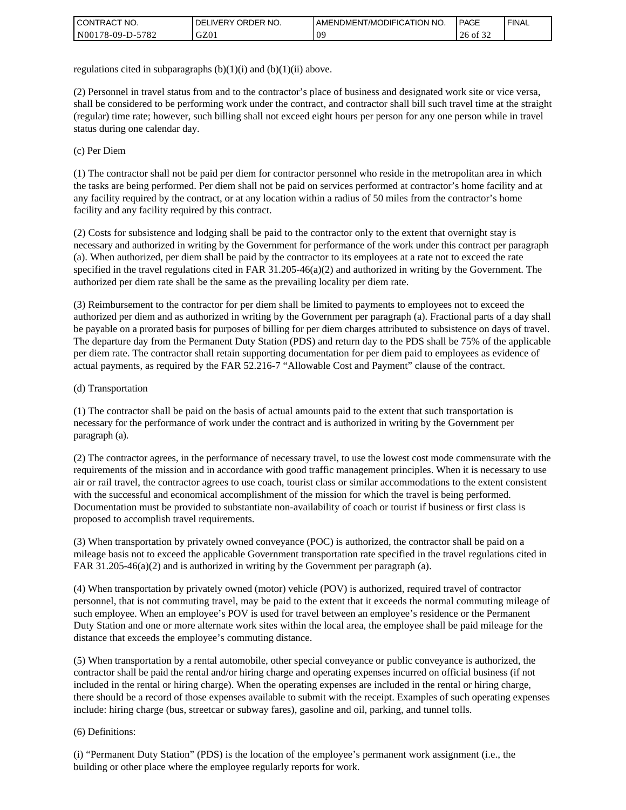| I CONTRACT NO.   | ' ORDER NO.<br><b>DELIVERY</b> | <b>I AMENDMENT/MODIFICATION NO.</b> | <b>PAGE</b>         | <b>FINAL</b> |
|------------------|--------------------------------|-------------------------------------|---------------------|--------------|
| N00178-09-D-5782 | GZ01                           | 0 <sup>o</sup>                      | 26<br>$\cdot$ of 3. |              |

regulations cited in subparagraphs  $(b)(1)(i)$  and  $(b)(1)(ii)$  above.

(2) Personnel in travel status from and to the contractor's place of business and designated work site or vice versa, shall be considered to be performing work under the contract, and contractor shall bill such travel time at the straight (regular) time rate; however, such billing shall not exceed eight hours per person for any one person while in travel status during one calendar day.

(c) Per Diem

(1) The contractor shall not be paid per diem for contractor personnel who reside in the metropolitan area in which the tasks are being performed. Per diem shall not be paid on services performed at contractor's home facility and at any facility required by the contract, or at any location within a radius of 50 miles from the contractor's home facility and any facility required by this contract.

(2) Costs for subsistence and lodging shall be paid to the contractor only to the extent that overnight stay is necessary and authorized in writing by the Government for performance of the work under this contract per paragraph (a). When authorized, per diem shall be paid by the contractor to its employees at a rate not to exceed the rate specified in the travel regulations cited in FAR 31.205-46(a)(2) and authorized in writing by the Government. The authorized per diem rate shall be the same as the prevailing locality per diem rate.

(3) Reimbursement to the contractor for per diem shall be limited to payments to employees not to exceed the authorized per diem and as authorized in writing by the Government per paragraph (a). Fractional parts of a day shall be payable on a prorated basis for purposes of billing for per diem charges attributed to subsistence on days of travel. The departure day from the Permanent Duty Station (PDS) and return day to the PDS shall be 75% of the applicable per diem rate. The contractor shall retain supporting documentation for per diem paid to employees as evidence of actual payments, as required by the FAR 52.216-7 "Allowable Cost and Payment" clause of the contract.

#### (d) Transportation

(1) The contractor shall be paid on the basis of actual amounts paid to the extent that such transportation is necessary for the performance of work under the contract and is authorized in writing by the Government per paragraph (a).

(2) The contractor agrees, in the performance of necessary travel, to use the lowest cost mode commensurate with the requirements of the mission and in accordance with good traffic management principles. When it is necessary to use air or rail travel, the contractor agrees to use coach, tourist class or similar accommodations to the extent consistent with the successful and economical accomplishment of the mission for which the travel is being performed. Documentation must be provided to substantiate non-availability of coach or tourist if business or first class is proposed to accomplish travel requirements.

(3) When transportation by privately owned conveyance (POC) is authorized, the contractor shall be paid on a mileage basis not to exceed the applicable Government transportation rate specified in the travel regulations cited in FAR 31.205-46(a)(2) and is authorized in writing by the Government per paragraph (a).

(4) When transportation by privately owned (motor) vehicle (POV) is authorized, required travel of contractor personnel, that is not commuting travel, may be paid to the extent that it exceeds the normal commuting mileage of such employee. When an employee's POV is used for travel between an employee's residence or the Permanent Duty Station and one or more alternate work sites within the local area, the employee shall be paid mileage for the distance that exceeds the employee's commuting distance.

(5) When transportation by a rental automobile, other special conveyance or public conveyance is authorized, the contractor shall be paid the rental and/or hiring charge and operating expenses incurred on official business (if not included in the rental or hiring charge). When the operating expenses are included in the rental or hiring charge, there should be a record of those expenses available to submit with the receipt. Examples of such operating expenses include: hiring charge (bus, streetcar or subway fares), gasoline and oil, parking, and tunnel tolls.

#### (6) Definitions:

(i) "Permanent Duty Station" (PDS) is the location of the employee's permanent work assignment (i.e., the building or other place where the employee regularly reports for work.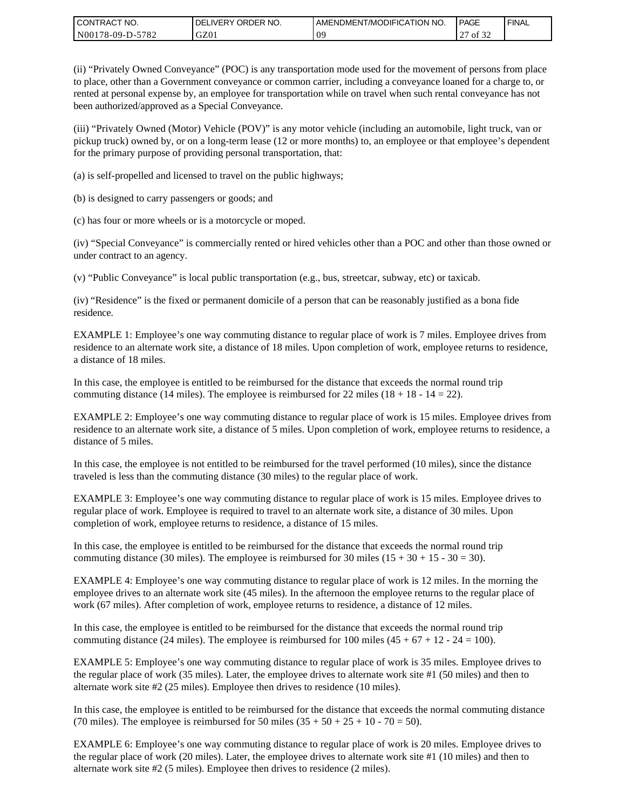| I CONTRACT NO.   | ' ORDER NO.<br><b>DELIVERY</b> | I AMENDMENT/MODIFICATION NO. | PAGE         | ' FINAL |
|------------------|--------------------------------|------------------------------|--------------|---------|
| N00178-09-D-5782 | GZ01                           | 0 <sup>o</sup>               | of 32<br>ا ت |         |

(ii) "Privately Owned Conveyance" (POC) is any transportation mode used for the movement of persons from place to place, other than a Government conveyance or common carrier, including a conveyance loaned for a charge to, or rented at personal expense by, an employee for transportation while on travel when such rental conveyance has not been authorized/approved as a Special Conveyance.

(iii) "Privately Owned (Motor) Vehicle (POV)" is any motor vehicle (including an automobile, light truck, van or pickup truck) owned by, or on a long-term lease (12 or more months) to, an employee or that employee's dependent for the primary purpose of providing personal transportation, that:

(a) is self-propelled and licensed to travel on the public highways;

(b) is designed to carry passengers or goods; and

(c) has four or more wheels or is a motorcycle or moped.

(iv) "Special Conveyance" is commercially rented or hired vehicles other than a POC and other than those owned or under contract to an agency.

(v) "Public Conveyance" is local public transportation (e.g., bus, streetcar, subway, etc) or taxicab.

(iv) "Residence" is the fixed or permanent domicile of a person that can be reasonably justified as a bona fide residence.

EXAMPLE 1: Employee's one way commuting distance to regular place of work is 7 miles. Employee drives from residence to an alternate work site, a distance of 18 miles. Upon completion of work, employee returns to residence, a distance of 18 miles.

In this case, the employee is entitled to be reimbursed for the distance that exceeds the normal round trip commuting distance (14 miles). The employee is reimbursed for 22 miles (18 + 18 - 14 = 22).

EXAMPLE 2: Employee's one way commuting distance to regular place of work is 15 miles. Employee drives from residence to an alternate work site, a distance of 5 miles. Upon completion of work, employee returns to residence, a distance of 5 miles.

In this case, the employee is not entitled to be reimbursed for the travel performed (10 miles), since the distance traveled is less than the commuting distance (30 miles) to the regular place of work.

EXAMPLE 3: Employee's one way commuting distance to regular place of work is 15 miles. Employee drives to regular place of work. Employee is required to travel to an alternate work site, a distance of 30 miles. Upon completion of work, employee returns to residence, a distance of 15 miles.

In this case, the employee is entitled to be reimbursed for the distance that exceeds the normal round trip commuting distance (30 miles). The employee is reimbursed for 30 miles  $(15 + 30 + 15 - 30 = 30)$ .

EXAMPLE 4: Employee's one way commuting distance to regular place of work is 12 miles. In the morning the employee drives to an alternate work site (45 miles). In the afternoon the employee returns to the regular place of work (67 miles). After completion of work, employee returns to residence, a distance of 12 miles.

In this case, the employee is entitled to be reimbursed for the distance that exceeds the normal round trip commuting distance (24 miles). The employee is reimbursed for 100 miles  $(45 + 67 + 12 - 24 = 100)$ .

EXAMPLE 5: Employee's one way commuting distance to regular place of work is 35 miles. Employee drives to the regular place of work (35 miles). Later, the employee drives to alternate work site #1 (50 miles) and then to alternate work site #2 (25 miles). Employee then drives to residence (10 miles).

In this case, the employee is entitled to be reimbursed for the distance that exceeds the normal commuting distance (70 miles). The employee is reimbursed for 50 miles  $(35 + 50 + 25 + 10 - 70 = 50)$ .

EXAMPLE 6: Employee's one way commuting distance to regular place of work is 20 miles. Employee drives to the regular place of work (20 miles). Later, the employee drives to alternate work site #1 (10 miles) and then to alternate work site #2 (5 miles). Employee then drives to residence (2 miles).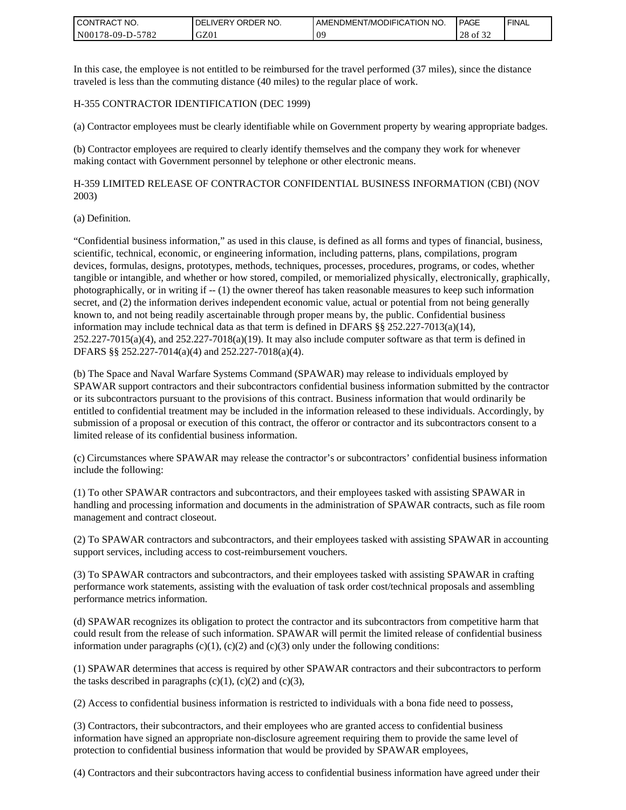| <b>CONTRACT NO.</b> | ' ORDER NO.<br><b>DELIVERY</b> | I AMENDMENT/MODIFICATION NO. | PAGE            | ' FINAL |
|---------------------|--------------------------------|------------------------------|-----------------|---------|
| N00178-09-D-5782    | GZ01                           | 0 <sup>o</sup>               | 28<br>οt<br>-24 |         |

In this case, the employee is not entitled to be reimbursed for the travel performed (37 miles), since the distance traveled is less than the commuting distance (40 miles) to the regular place of work.

#### H-355 CONTRACTOR IDENTIFICATION (DEC 1999)

(a) Contractor employees must be clearly identifiable while on Government property by wearing appropriate badges.

(b) Contractor employees are required to clearly identify themselves and the company they work for whenever making contact with Government personnel by telephone or other electronic means.

H-359 LIMITED RELEASE OF CONTRACTOR CONFIDENTIAL BUSINESS INFORMATION (CBI) (NOV 2003)

#### (a) Definition.

"Confidential business information," as used in this clause, is defined as all forms and types of financial, business, scientific, technical, economic, or engineering information, including patterns, plans, compilations, program devices, formulas, designs, prototypes, methods, techniques, processes, procedures, programs, or codes, whether tangible or intangible, and whether or how stored, compiled, or memorialized physically, electronically, graphically, photographically, or in writing if -- (1) the owner thereof has taken reasonable measures to keep such information secret, and (2) the information derives independent economic value, actual or potential from not being generally known to, and not being readily ascertainable through proper means by, the public. Confidential business information may include technical data as that term is defined in DFARS §§ 252.227-7013(a)(14),  $252.227-7015(a)(4)$ , and  $252.227-7018(a)(19)$ . It may also include computer software as that term is defined in DFARS §§ 252.227-7014(a)(4) and 252.227-7018(a)(4).

(b) The Space and Naval Warfare Systems Command (SPAWAR) may release to individuals employed by SPAWAR support contractors and their subcontractors confidential business information submitted by the contractor or its subcontractors pursuant to the provisions of this contract. Business information that would ordinarily be entitled to confidential treatment may be included in the information released to these individuals. Accordingly, by submission of a proposal or execution of this contract, the offeror or contractor and its subcontractors consent to a limited release of its confidential business information.

(c) Circumstances where SPAWAR may release the contractor's or subcontractors' confidential business information include the following:

(1) To other SPAWAR contractors and subcontractors, and their employees tasked with assisting SPAWAR in handling and processing information and documents in the administration of SPAWAR contracts, such as file room management and contract closeout.

(2) To SPAWAR contractors and subcontractors, and their employees tasked with assisting SPAWAR in accounting support services, including access to cost-reimbursement vouchers.

(3) To SPAWAR contractors and subcontractors, and their employees tasked with assisting SPAWAR in crafting performance work statements, assisting with the evaluation of task order cost/technical proposals and assembling performance metrics information.

(d) SPAWAR recognizes its obligation to protect the contractor and its subcontractors from competitive harm that could result from the release of such information. SPAWAR will permit the limited release of confidential business information under paragraphs  $(c)(1)$ ,  $(c)(2)$  and  $(c)(3)$  only under the following conditions:

(1) SPAWAR determines that access is required by other SPAWAR contractors and their subcontractors to perform the tasks described in paragraphs  $(c)(1)$ ,  $(c)(2)$  and  $(c)(3)$ ,

(2) Access to confidential business information is restricted to individuals with a bona fide need to possess,

(3) Contractors, their subcontractors, and their employees who are granted access to confidential business information have signed an appropriate non-disclosure agreement requiring them to provide the same level of protection to confidential business information that would be provided by SPAWAR employees,

(4) Contractors and their subcontractors having access to confidential business information have agreed under their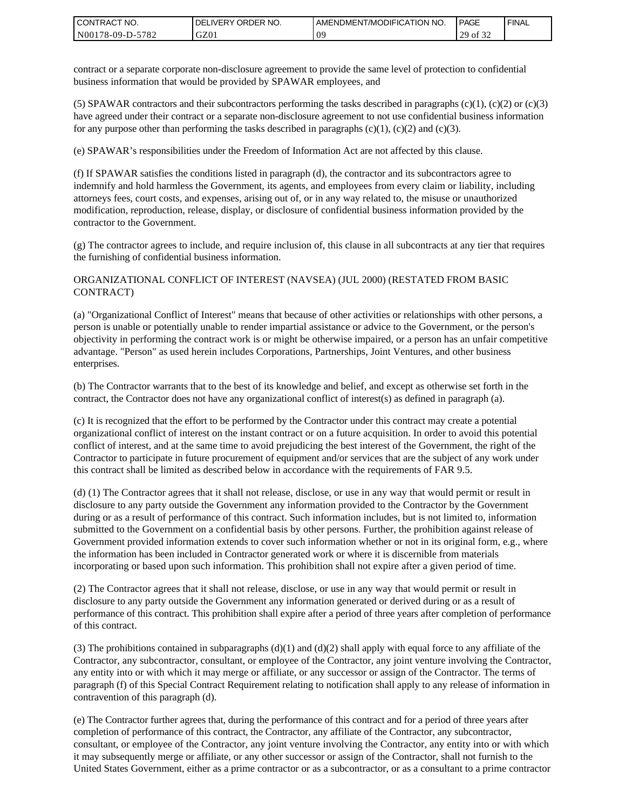| <b>CONTRACT NO.</b> | ' ORDER NO.<br><b>DELIVERY</b> | AMENDMENT/MODIFICATION NO. | <b>PAGE</b>                    | ' FINAL |
|---------------------|--------------------------------|----------------------------|--------------------------------|---------|
| N00178-09-D-5782    | GZ01                           | 09                         | 0.22<br>20<br>ΟĪ<br>ر _<br>ے ر |         |

contract or a separate corporate non-disclosure agreement to provide the same level of protection to confidential business information that would be provided by SPAWAR employees, and

(5) SPAWAR contractors and their subcontractors performing the tasks described in paragraphs  $(c)(1)$ ,  $(c)(2)$  or  $(c)(3)$ have agreed under their contract or a separate non-disclosure agreement to not use confidential business information for any purpose other than performing the tasks described in paragraphs  $(c)(1)$ ,  $(c)(2)$  and  $(c)(3)$ .

(e) SPAWAR's responsibilities under the Freedom of Information Act are not affected by this clause.

(f) If SPAWAR satisfies the conditions listed in paragraph (d), the contractor and its subcontractors agree to indemnify and hold harmless the Government, its agents, and employees from every claim or liability, including attorneys fees, court costs, and expenses, arising out of, or in any way related to, the misuse or unauthorized modification, reproduction, release, display, or disclosure of confidential business information provided by the contractor to the Government.

(g) The contractor agrees to include, and require inclusion of, this clause in all subcontracts at any tier that requires the furnishing of confidential business information.

#### ORGANIZATIONAL CONFLICT OF INTEREST (NAVSEA) (JUL 2000) (RESTATED FROM BASIC CONTRACT)

(a) "Organizational Conflict of Interest" means that because of other activities or relationships with other persons, a person is unable or potentially unable to render impartial assistance or advice to the Government, or the person's objectivity in performing the contract work is or might be otherwise impaired, or a person has an unfair competitive advantage. "Person" as used herein includes Corporations, Partnerships, Joint Ventures, and other business enterprises.

(b) The Contractor warrants that to the best of its knowledge and belief, and except as otherwise set forth in the contract, the Contractor does not have any organizational conflict of interest(s) as defined in paragraph (a).

(c) It is recognized that the effort to be performed by the Contractor under this contract may create a potential organizational conflict of interest on the instant contract or on a future acquisition. In order to avoid this potential conflict of interest, and at the same time to avoid prejudicing the best interest of the Government, the right of the Contractor to participate in future procurement of equipment and/or services that are the subject of any work under this contract shall be limited as described below in accordance with the requirements of FAR 9.5.

(d) (1) The Contractor agrees that it shall not release, disclose, or use in any way that would permit or result in disclosure to any party outside the Government any information provided to the Contractor by the Government during or as a result of performance of this contract. Such information includes, but is not limited to, information submitted to the Government on a confidential basis by other persons. Further, the prohibition against release of Government provided information extends to cover such information whether or not in its original form, e.g., where the information has been included in Contractor generated work or where it is discernible from materials incorporating or based upon such information. This prohibition shall not expire after a given period of time.

(2) The Contractor agrees that it shall not release, disclose, or use in any way that would permit or result in disclosure to any party outside the Government any information generated or derived during or as a result of performance of this contract. This prohibition shall expire after a period of three years after completion of performance of this contract.

(3) The prohibitions contained in subparagraphs  $(d)(1)$  and  $(d)(2)$  shall apply with equal force to any affiliate of the Contractor, any subcontractor, consultant, or employee of the Contractor, any joint venture involving the Contractor, any entity into or with which it may merge or affiliate, or any successor or assign of the Contractor. The terms of paragraph (f) of this Special Contract Requirement relating to notification shall apply to any release of information in contravention of this paragraph (d).

(e) The Contractor further agrees that, during the performance of this contract and for a period of three years after completion of performance of this contract, the Contractor, any affiliate of the Contractor, any subcontractor, consultant, or employee of the Contractor, any joint venture involving the Contractor, any entity into or with which it may subsequently merge or affiliate, or any other successor or assign of the Contractor, shall not furnish to the United States Government, either as a prime contractor or as a subcontractor, or as a consultant to a prime contractor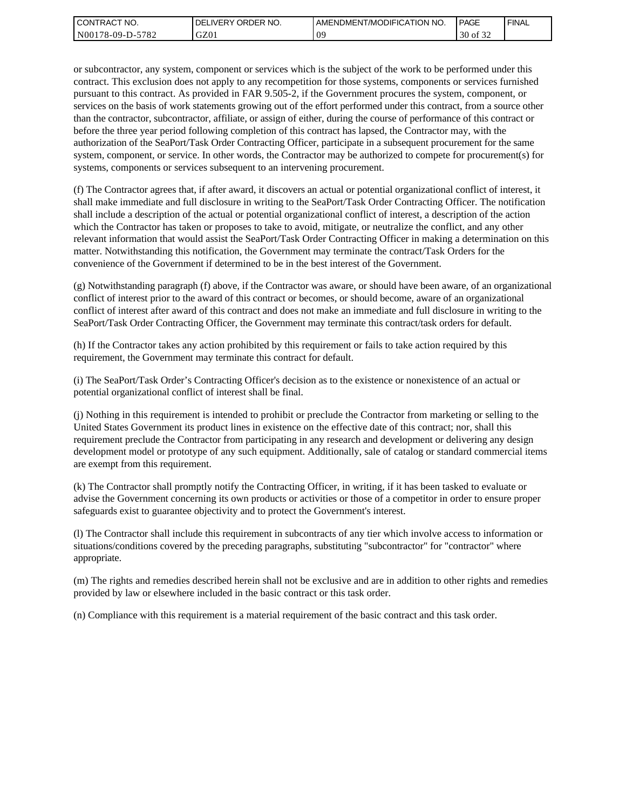| l CON <sup>-</sup><br>'TRACT NO. | ORDER<br>NO.<br>.IVERY<br>DELI | AMENDMENT/MODIFICATION NO. | <b>PAGE</b>                         | ' FINAL |
|----------------------------------|--------------------------------|----------------------------|-------------------------------------|---------|
| 5782<br>N00178-09-D-5            | GZ01                           | ΩS                         | 0.22<br>$\Omega$<br>ΟĪ<br>3U<br>ے ر |         |

or subcontractor, any system, component or services which is the subject of the work to be performed under this contract. This exclusion does not apply to any recompetition for those systems, components or services furnished pursuant to this contract. As provided in FAR 9.505-2, if the Government procures the system, component, or services on the basis of work statements growing out of the effort performed under this contract, from a source other than the contractor, subcontractor, affiliate, or assign of either, during the course of performance of this contract or before the three year period following completion of this contract has lapsed, the Contractor may, with the authorization of the SeaPort/Task Order Contracting Officer, participate in a subsequent procurement for the same system, component, or service. In other words, the Contractor may be authorized to compete for procurement(s) for systems, components or services subsequent to an intervening procurement.

(f) The Contractor agrees that, if after award, it discovers an actual or potential organizational conflict of interest, it shall make immediate and full disclosure in writing to the SeaPort/Task Order Contracting Officer. The notification shall include a description of the actual or potential organizational conflict of interest, a description of the action which the Contractor has taken or proposes to take to avoid, mitigate, or neutralize the conflict, and any other relevant information that would assist the SeaPort/Task Order Contracting Officer in making a determination on this matter. Notwithstanding this notification, the Government may terminate the contract/Task Orders for the convenience of the Government if determined to be in the best interest of the Government.

(g) Notwithstanding paragraph (f) above, if the Contractor was aware, or should have been aware, of an organizational conflict of interest prior to the award of this contract or becomes, or should become, aware of an organizational conflict of interest after award of this contract and does not make an immediate and full disclosure in writing to the SeaPort/Task Order Contracting Officer, the Government may terminate this contract/task orders for default.

(h) If the Contractor takes any action prohibited by this requirement or fails to take action required by this requirement, the Government may terminate this contract for default.

(i) The SeaPort/Task Order's Contracting Officer's decision as to the existence or nonexistence of an actual or potential organizational conflict of interest shall be final.

(j) Nothing in this requirement is intended to prohibit or preclude the Contractor from marketing or selling to the United States Government its product lines in existence on the effective date of this contract; nor, shall this requirement preclude the Contractor from participating in any research and development or delivering any design development model or prototype of any such equipment. Additionally, sale of catalog or standard commercial items are exempt from this requirement.

(k) The Contractor shall promptly notify the Contracting Officer, in writing, if it has been tasked to evaluate or advise the Government concerning its own products or activities or those of a competitor in order to ensure proper safeguards exist to guarantee objectivity and to protect the Government's interest.

(l) The Contractor shall include this requirement in subcontracts of any tier which involve access to information or situations/conditions covered by the preceding paragraphs, substituting "subcontractor" for "contractor" where appropriate.

(m) The rights and remedies described herein shall not be exclusive and are in addition to other rights and remedies provided by law or elsewhere included in the basic contract or this task order.

(n) Compliance with this requirement is a material requirement of the basic contract and this task order.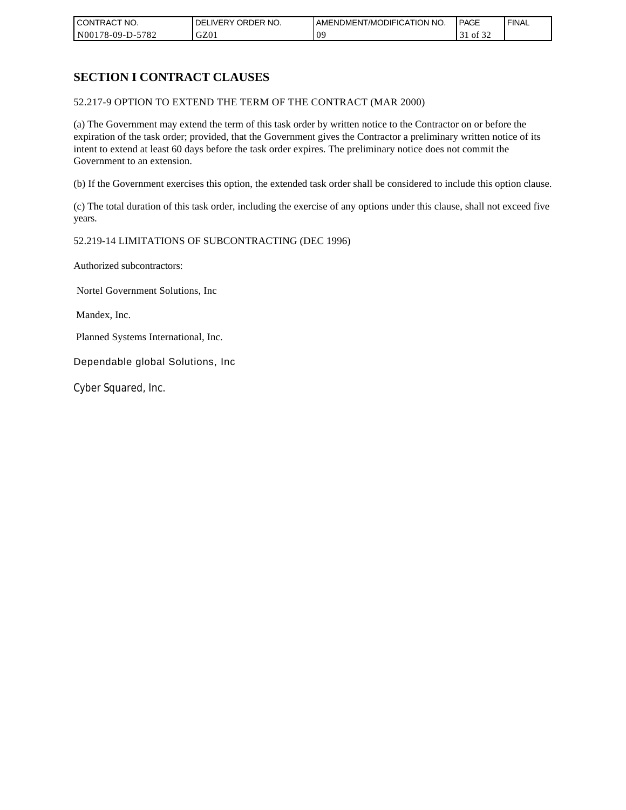| CONTRACT NO.     | ORDER<br>NO.<br><b>DELIVERY</b> | AMENDMENT/MODIFICATION NO. | PAGE              | <b>FINAL</b> |
|------------------|---------------------------------|----------------------------|-------------------|--------------|
| N00178-09-D-5782 | GZ01                            | 09                         | 0Ī<br>- 51<br>ے ر |              |

# **SECTION I CONTRACT CLAUSES**

52.217-9 OPTION TO EXTEND THE TERM OF THE CONTRACT (MAR 2000)

(a) The Government may extend the term of this task order by written notice to the Contractor on or before the expiration of the task order; provided, that the Government gives the Contractor a preliminary written notice of its intent to extend at least 60 days before the task order expires. The preliminary notice does not commit the Government to an extension.

(b) If the Government exercises this option, the extended task order shall be considered to include this option clause.

(c) The total duration of this task order, including the exercise of any options under this clause, shall not exceed five years.

### 52.219-14 LIMITATIONS OF SUBCONTRACTING (DEC 1996)

Authorized subcontractors:

Nortel Government Solutions, Inc

Mandex, Inc.

Planned Systems International, Inc.

Dependable global Solutions, Inc

Cyber Squared, Inc.